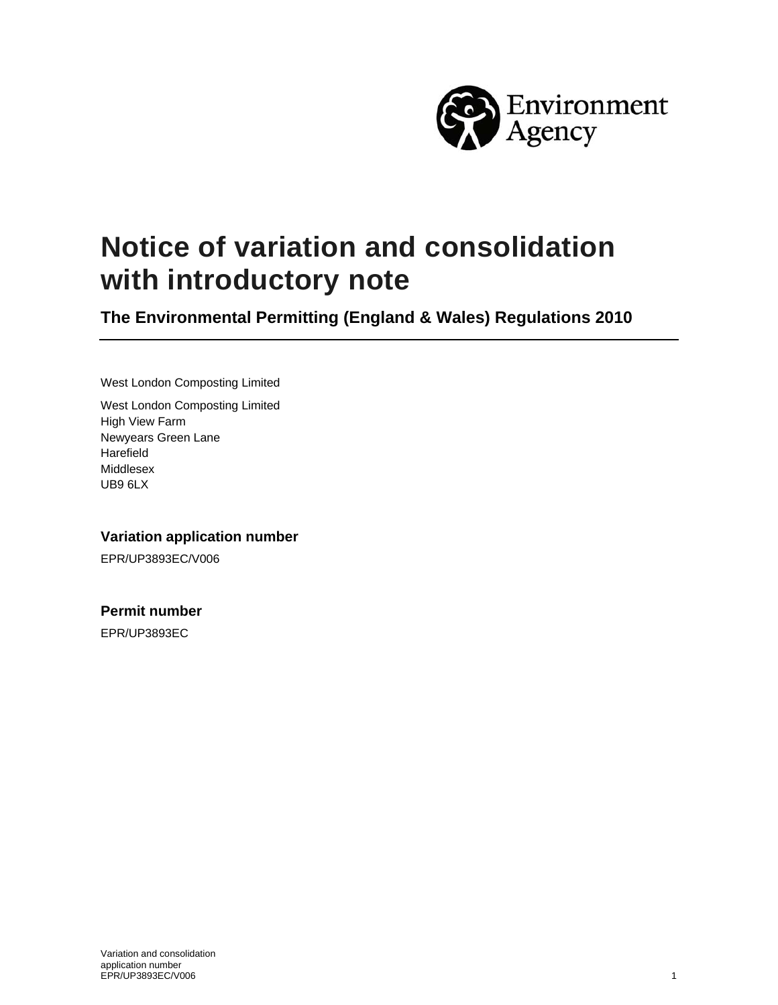

# **Notice of variation and consolidation with introductory note**

**The Environmental Permitting (England & Wales) Regulations 2010** 

West London Composting Limited

West London Composting Limited High View Farm Newyears Green Lane Harefield Middlesex UB9 6LX

#### **Variation application number**

EPR/UP3893EC/V006

#### **Permit number**

EPR/UP3893EC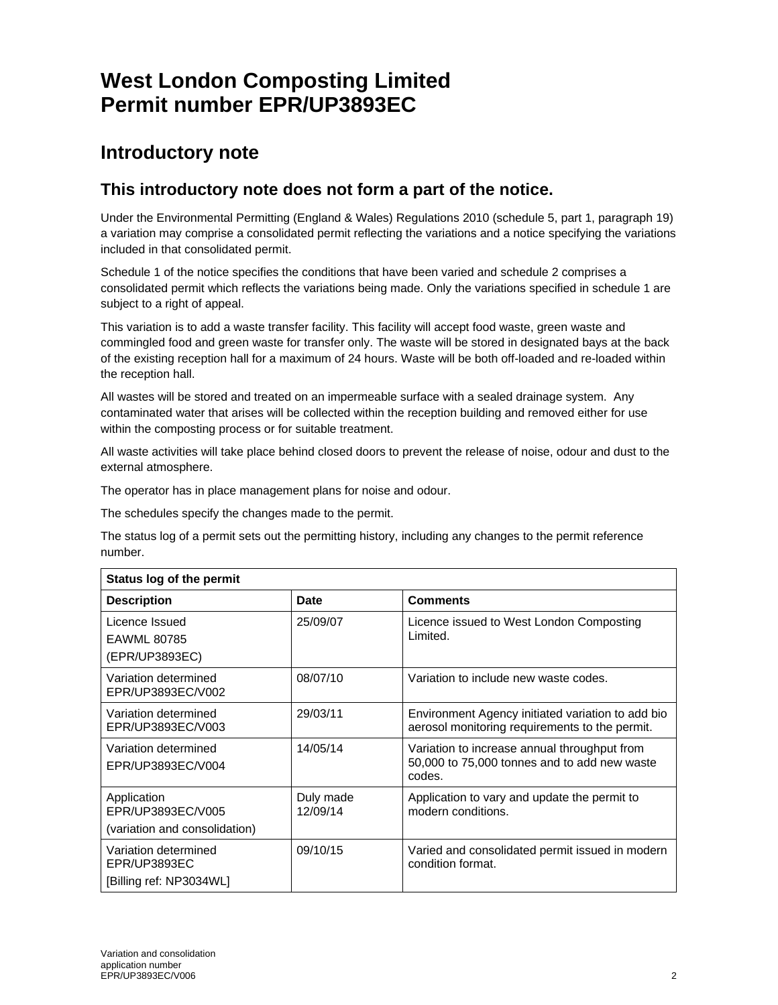## **West London Composting Limited Permit number EPR/UP3893EC**

## **Introductory note**

### **This introductory note does not form a part of the notice.**

Under the Environmental Permitting (England & Wales) Regulations 2010 (schedule 5, part 1, paragraph 19) a variation may comprise a consolidated permit reflecting the variations and a notice specifying the variations included in that consolidated permit.

Schedule 1 of the notice specifies the conditions that have been varied and schedule 2 comprises a consolidated permit which reflects the variations being made. Only the variations specified in schedule 1 are subject to a right of appeal.

This variation is to add a waste transfer facility. This facility will accept food waste, green waste and commingled food and green waste for transfer only. The waste will be stored in designated bays at the back of the existing reception hall for a maximum of 24 hours. Waste will be both off-loaded and re-loaded within the reception hall.

All wastes will be stored and treated on an impermeable surface with a sealed drainage system. Any contaminated water that arises will be collected within the reception building and removed either for use within the composting process or for suitable treatment.

All waste activities will take place behind closed doors to prevent the release of noise, odour and dust to the external atmosphere.

The operator has in place management plans for noise and odour.

The schedules specify the changes made to the permit.

The status log of a permit sets out the permitting history, including any changes to the permit reference number.

| Status log of the permit                                          |                       |                                                                                                        |  |  |
|-------------------------------------------------------------------|-----------------------|--------------------------------------------------------------------------------------------------------|--|--|
| <b>Description</b>                                                | Date                  | <b>Comments</b>                                                                                        |  |  |
| Licence Issued<br>EAWML 80785<br>(EPR/UP3893EC)                   | 25/09/07              | Licence issued to West London Composting<br>Limited.                                                   |  |  |
| Variation determined<br>EPR/UP3893EC/V002                         | 08/07/10              | Variation to include new waste codes.                                                                  |  |  |
| Variation determined<br>EPR/UP3893EC/V003                         | 29/03/11              | Environment Agency initiated variation to add bio<br>aerosol monitoring requirements to the permit.    |  |  |
| Variation determined<br>EPR/UP3893EC/V004                         | 14/05/14              | Variation to increase annual throughput from<br>50,000 to 75,000 tonnes and to add new waste<br>codes. |  |  |
| Application<br>EPR/UP3893EC/V005<br>(variation and consolidation) | Duly made<br>12/09/14 | Application to vary and update the permit to<br>modern conditions.                                     |  |  |
| Variation determined<br>EPR/UP3893EC<br>[Billing ref: NP3034WL]   | 09/10/15              | Varied and consolidated permit issued in modern<br>condition format.                                   |  |  |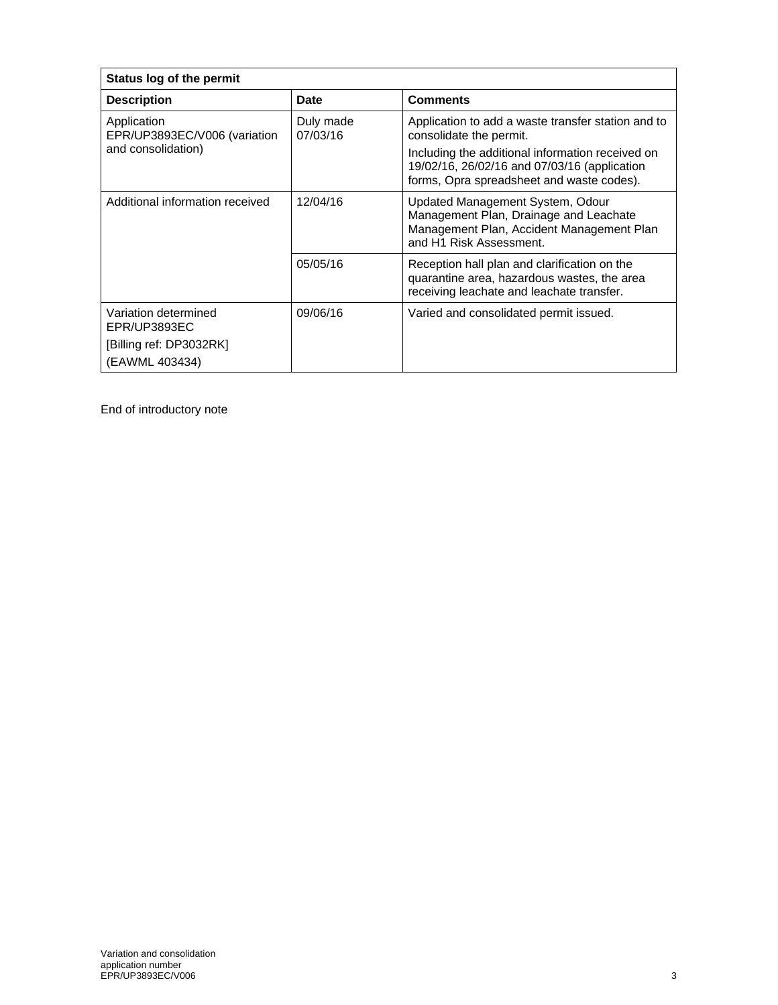| Status log of the permit                                                          |                       |                                                                                                                                                                                                                                |  |  |
|-----------------------------------------------------------------------------------|-----------------------|--------------------------------------------------------------------------------------------------------------------------------------------------------------------------------------------------------------------------------|--|--|
| <b>Description</b>                                                                | <b>Date</b>           | <b>Comments</b>                                                                                                                                                                                                                |  |  |
| Application<br>EPR/UP3893EC/V006 (variation<br>and consolidation)                 | Duly made<br>07/03/16 | Application to add a waste transfer station and to<br>consolidate the permit.<br>Including the additional information received on<br>19/02/16, 26/02/16 and 07/03/16 (application<br>forms, Opra spreadsheet and waste codes). |  |  |
| Additional information received                                                   | 12/04/16              | Updated Management System, Odour<br>Management Plan, Drainage and Leachate<br>Management Plan, Accident Management Plan<br>and H1 Risk Assessment.                                                                             |  |  |
|                                                                                   | 05/05/16              | Reception hall plan and clarification on the<br>quarantine area, hazardous wastes, the area<br>receiving leachate and leachate transfer.                                                                                       |  |  |
| Variation determined<br>EPR/UP3893EC<br>[Billing ref: DP3032RK]<br>(EAWML 403434) | 09/06/16              | Varied and consolidated permit issued.                                                                                                                                                                                         |  |  |

End of introductory note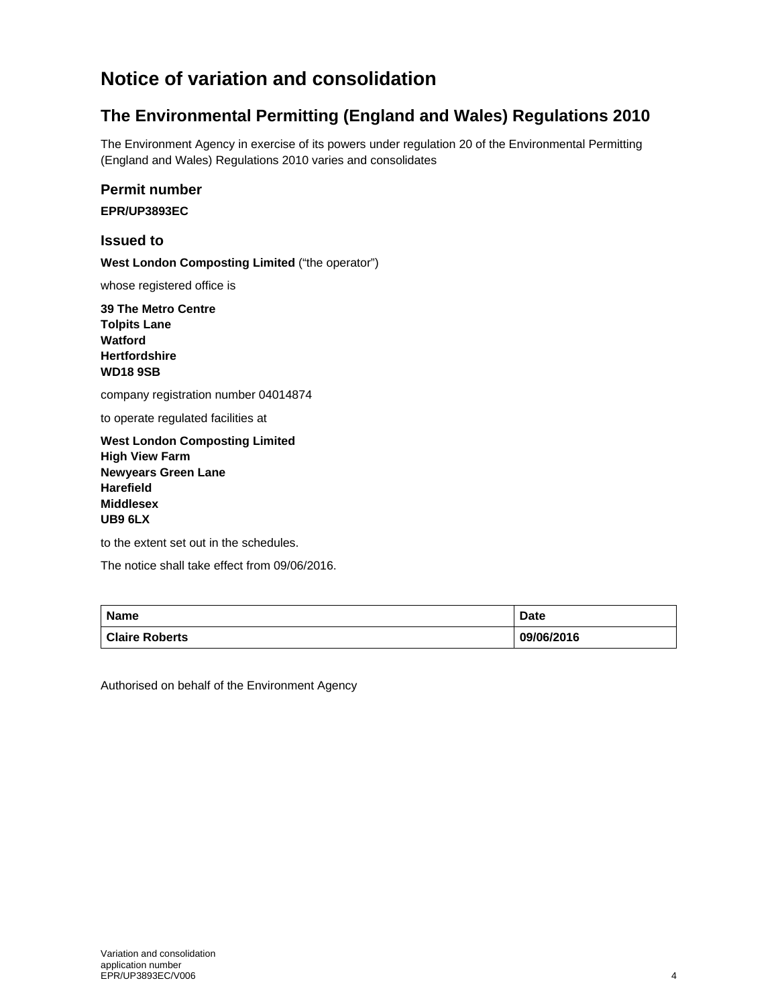## **Notice of variation and consolidation**

### **The Environmental Permitting (England and Wales) Regulations 2010**

The Environment Agency in exercise of its powers under regulation 20 of the Environmental Permitting (England and Wales) Regulations 2010 varies and consolidates

#### **Permit number**

**EPR/UP3893EC** 

#### **Issued to**

**West London Composting Limited** ("the operator")

whose registered office is

**39 The Metro Centre Tolpits Lane Watford Hertfordshire WD18 9SB** 

company registration number 04014874

to operate regulated facilities at

**West London Composting Limited High View Farm Newyears Green Lane Harefield Middlesex UB9 6LX**

to the extent set out in the schedules.

The notice shall take effect from 09/06/2016.

| <b>Name</b>           | <b>Date</b> |
|-----------------------|-------------|
| <b>Claire Roberts</b> | 09/06/2016  |

Authorised on behalf of the Environment Agency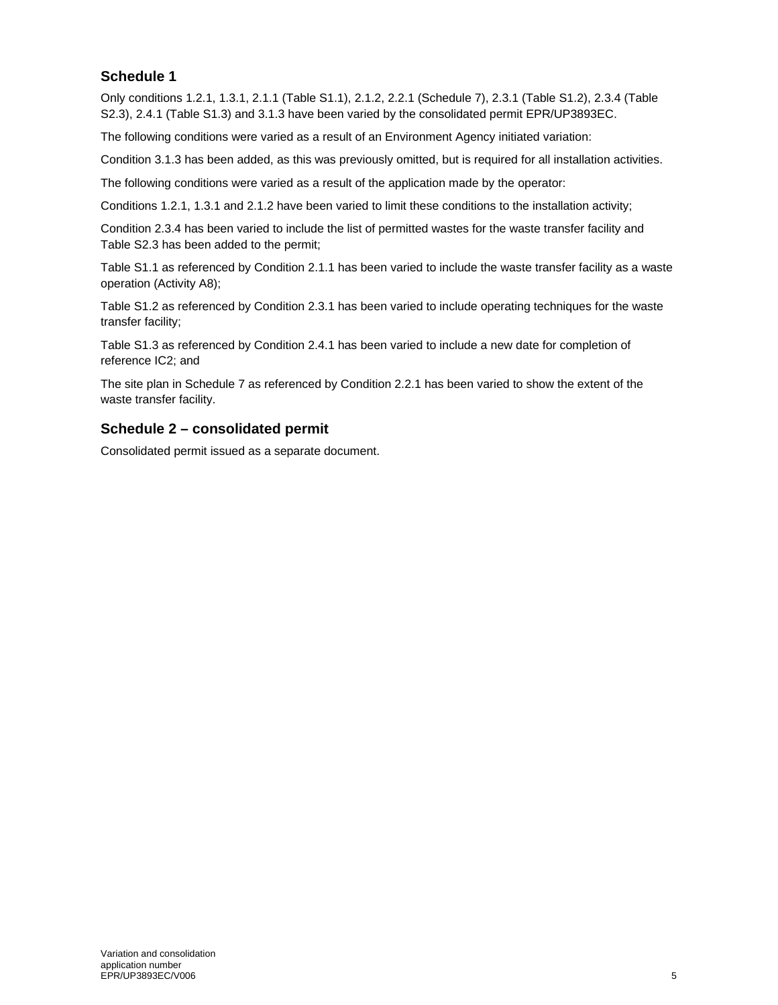#### **Schedule 1**

Only conditions 1.2.1, 1.3.1, 2.1.1 (Table S1.1), 2.1.2, 2.2.1 (Schedule 7), 2.3.1 (Table S1.2), 2.3.4 (Table S2.3), 2.4.1 (Table S1.3) and 3.1.3 have been varied by the consolidated permit EPR/UP3893EC.

The following conditions were varied as a result of an Environment Agency initiated variation:

Condition 3.1.3 has been added, as this was previously omitted, but is required for all installation activities.

The following conditions were varied as a result of the application made by the operator:

Conditions 1.2.1, 1.3.1 and 2.1.2 have been varied to limit these conditions to the installation activity;

Condition 2.3.4 has been varied to include the list of permitted wastes for the waste transfer facility and Table S2.3 has been added to the permit;

Table S1.1 as referenced by Condition 2.1.1 has been varied to include the waste transfer facility as a waste operation (Activity A8);

Table S1.2 as referenced by Condition 2.3.1 has been varied to include operating techniques for the waste transfer facility;

Table S1.3 as referenced by Condition 2.4.1 has been varied to include a new date for completion of reference IC2; and

The site plan in Schedule 7 as referenced by Condition 2.2.1 has been varied to show the extent of the waste transfer facility.

#### **Schedule 2 – consolidated permit**

Consolidated permit issued as a separate document.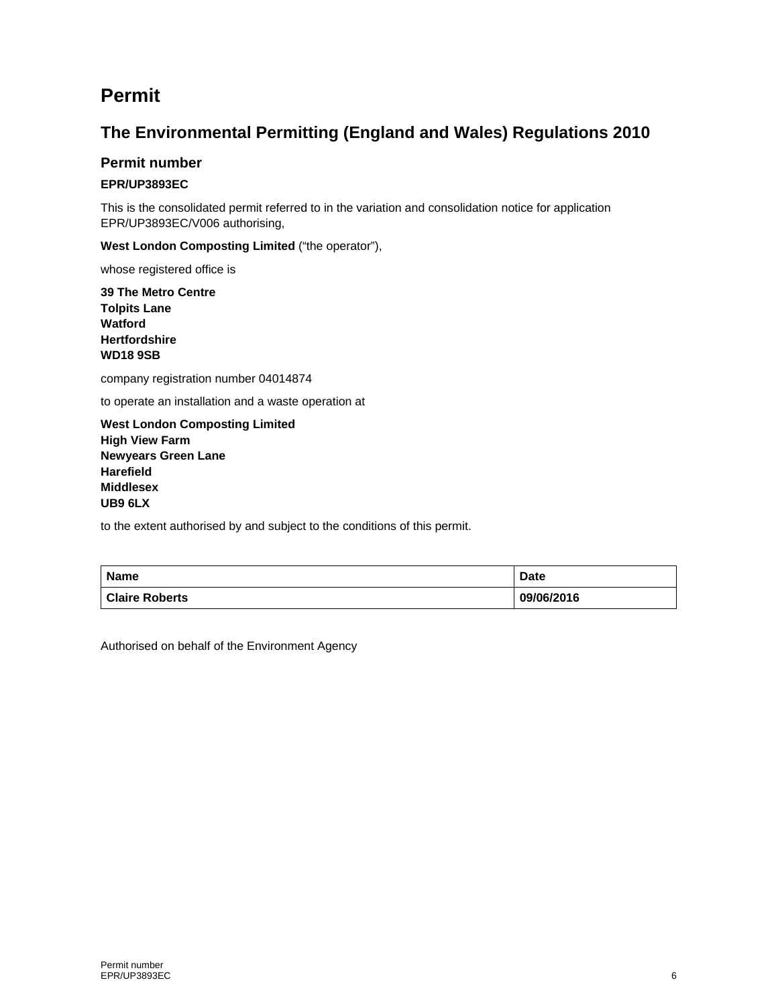## **Permit**

### **The Environmental Permitting (England and Wales) Regulations 2010**

#### **Permit number**

#### **EPR/UP3893EC**

This is the consolidated permit referred to in the variation and consolidation notice for application EPR/UP3893EC/V006 authorising,

**West London Composting Limited** ("the operator"),

whose registered office is

**39 The Metro Centre Tolpits Lane Watford Hertfordshire WD18 9SB** 

company registration number 04014874

to operate an installation and a waste operation at

**West London Composting Limited High View Farm Newyears Green Lane Harefield Middlesex UB9 6LX** 

to the extent authorised by and subject to the conditions of this permit.

| <b>Name</b>           | <b>Date</b> |
|-----------------------|-------------|
| <b>Claire Roberts</b> | 09/06/2016  |

Authorised on behalf of the Environment Agency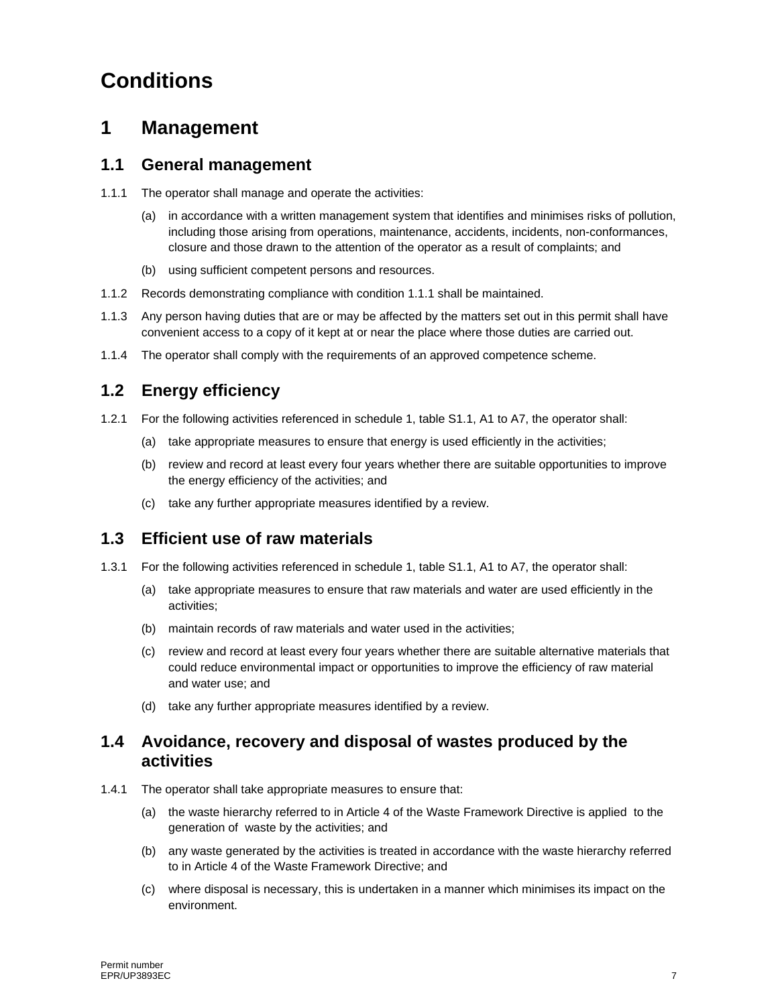# **Conditions**

## **1 Management**

#### **1.1 General management**

- 1.1.1 The operator shall manage and operate the activities:
	- (a) in accordance with a written management system that identifies and minimises risks of pollution, including those arising from operations, maintenance, accidents, incidents, non-conformances, closure and those drawn to the attention of the operator as a result of complaints; and
	- (b) using sufficient competent persons and resources.
- 1.1.2 Records demonstrating compliance with condition 1.1.1 shall be maintained.
- 1.1.3 Any person having duties that are or may be affected by the matters set out in this permit shall have convenient access to a copy of it kept at or near the place where those duties are carried out.
- 1.1.4 The operator shall comply with the requirements of an approved competence scheme.

### **1.2 Energy efficiency**

- 1.2.1 For the following activities referenced in schedule 1, table S1.1, A1 to A7, the operator shall:
	- (a) take appropriate measures to ensure that energy is used efficiently in the activities;
	- (b) review and record at least every four years whether there are suitable opportunities to improve the energy efficiency of the activities; and
	- (c) take any further appropriate measures identified by a review.

### **1.3 Efficient use of raw materials**

- 1.3.1 For the following activities referenced in schedule 1, table S1.1, A1 to A7, the operator shall:
	- (a) take appropriate measures to ensure that raw materials and water are used efficiently in the activities;
	- (b) maintain records of raw materials and water used in the activities;
	- (c) review and record at least every four years whether there are suitable alternative materials that could reduce environmental impact or opportunities to improve the efficiency of raw material and water use; and
	- (d) take any further appropriate measures identified by a review.

### **1.4 Avoidance, recovery and disposal of wastes produced by the activities**

- 1.4.1 The operator shall take appropriate measures to ensure that:
	- (a) the waste hierarchy referred to in Article 4 of the Waste Framework Directive is applied to the generation of waste by the activities; and
	- (b) any waste generated by the activities is treated in accordance with the waste hierarchy referred to in Article 4 of the Waste Framework Directive; and
	- (c) where disposal is necessary, this is undertaken in a manner which minimises its impact on the environment.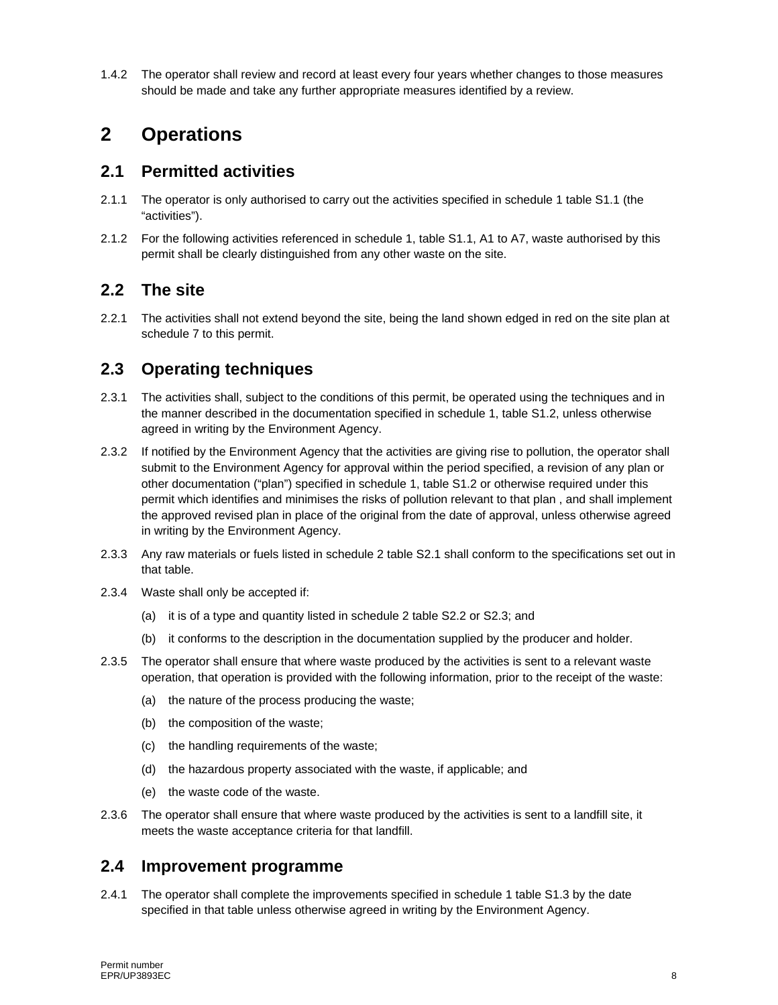1.4.2 The operator shall review and record at least every four years whether changes to those measures should be made and take any further appropriate measures identified by a review.

## **2 Operations**

#### **2.1 Permitted activities**

- 2.1.1 The operator is only authorised to carry out the activities specified in schedule 1 table S1.1 (the "activities").
- 2.1.2 For the following activities referenced in schedule 1, table S1.1, A1 to A7, waste authorised by this permit shall be clearly distinguished from any other waste on the site.

#### **2.2 The site**

2.2.1 The activities shall not extend beyond the site, being the land shown edged in red on the site plan at schedule 7 to this permit.

### **2.3 Operating techniques**

- 2.3.1 The activities shall, subject to the conditions of this permit, be operated using the techniques and in the manner described in the documentation specified in schedule 1, table S1.2, unless otherwise agreed in writing by the Environment Agency.
- 2.3.2 If notified by the Environment Agency that the activities are giving rise to pollution, the operator shall submit to the Environment Agency for approval within the period specified, a revision of any plan or other documentation ("plan") specified in schedule 1, table S1.2 or otherwise required under this permit which identifies and minimises the risks of pollution relevant to that plan , and shall implement the approved revised plan in place of the original from the date of approval, unless otherwise agreed in writing by the Environment Agency.
- 2.3.3 Any raw materials or fuels listed in schedule 2 table S2.1 shall conform to the specifications set out in that table.
- 2.3.4 Waste shall only be accepted if:
	- (a) it is of a type and quantity listed in schedule 2 table S2.2 or S2.3; and
	- (b) it conforms to the description in the documentation supplied by the producer and holder.
- 2.3.5 The operator shall ensure that where waste produced by the activities is sent to a relevant waste operation, that operation is provided with the following information, prior to the receipt of the waste:
	- (a) the nature of the process producing the waste;
	- (b) the composition of the waste;
	- (c) the handling requirements of the waste;
	- (d) the hazardous property associated with the waste, if applicable; and
	- (e) the waste code of the waste.
- 2.3.6 The operator shall ensure that where waste produced by the activities is sent to a landfill site, it meets the waste acceptance criteria for that landfill.

#### **2.4 Improvement programme**

2.4.1 The operator shall complete the improvements specified in schedule 1 table S1.3 by the date specified in that table unless otherwise agreed in writing by the Environment Agency.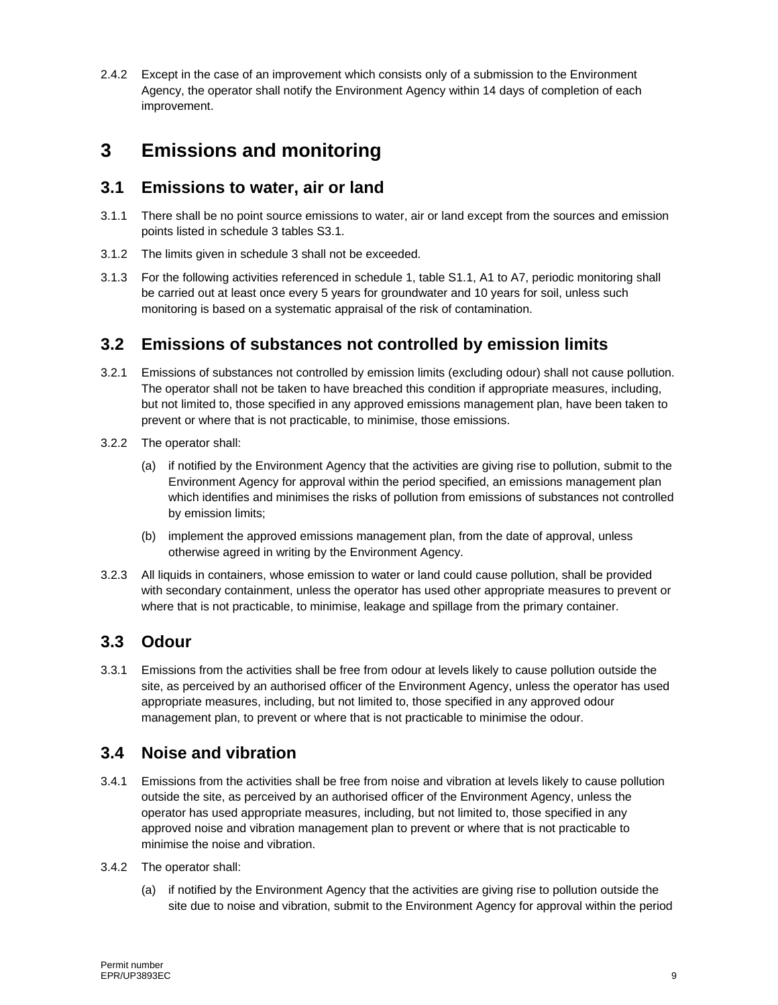2.4.2 Except in the case of an improvement which consists only of a submission to the Environment Agency, the operator shall notify the Environment Agency within 14 days of completion of each improvement.

## **3 Emissions and monitoring**

#### **3.1 Emissions to water, air or land**

- 3.1.1 There shall be no point source emissions to water, air or land except from the sources and emission points listed in schedule 3 tables S3.1.
- 3.1.2 The limits given in schedule 3 shall not be exceeded.
- 3.1.3 For the following activities referenced in schedule 1, table S1.1, A1 to A7, periodic monitoring shall be carried out at least once every 5 years for groundwater and 10 years for soil, unless such monitoring is based on a systematic appraisal of the risk of contamination.

### **3.2 Emissions of substances not controlled by emission limits**

- 3.2.1 Emissions of substances not controlled by emission limits (excluding odour) shall not cause pollution. The operator shall not be taken to have breached this condition if appropriate measures, including, but not limited to, those specified in any approved emissions management plan, have been taken to prevent or where that is not practicable, to minimise, those emissions.
- 3.2.2 The operator shall:
	- (a) if notified by the Environment Agency that the activities are giving rise to pollution, submit to the Environment Agency for approval within the period specified, an emissions management plan which identifies and minimises the risks of pollution from emissions of substances not controlled by emission limits;
	- (b) implement the approved emissions management plan, from the date of approval, unless otherwise agreed in writing by the Environment Agency.
- 3.2.3 All liquids in containers, whose emission to water or land could cause pollution, shall be provided with secondary containment, unless the operator has used other appropriate measures to prevent or where that is not practicable, to minimise, leakage and spillage from the primary container.

#### **3.3 Odour**

3.3.1 Emissions from the activities shall be free from odour at levels likely to cause pollution outside the site, as perceived by an authorised officer of the Environment Agency, unless the operator has used appropriate measures, including, but not limited to, those specified in any approved odour management plan, to prevent or where that is not practicable to minimise the odour.

### **3.4 Noise and vibration**

- 3.4.1 Emissions from the activities shall be free from noise and vibration at levels likely to cause pollution outside the site, as perceived by an authorised officer of the Environment Agency, unless the operator has used appropriate measures, including, but not limited to, those specified in any approved noise and vibration management plan to prevent or where that is not practicable to minimise the noise and vibration.
- 3.4.2 The operator shall:
	- (a) if notified by the Environment Agency that the activities are giving rise to pollution outside the site due to noise and vibration, submit to the Environment Agency for approval within the period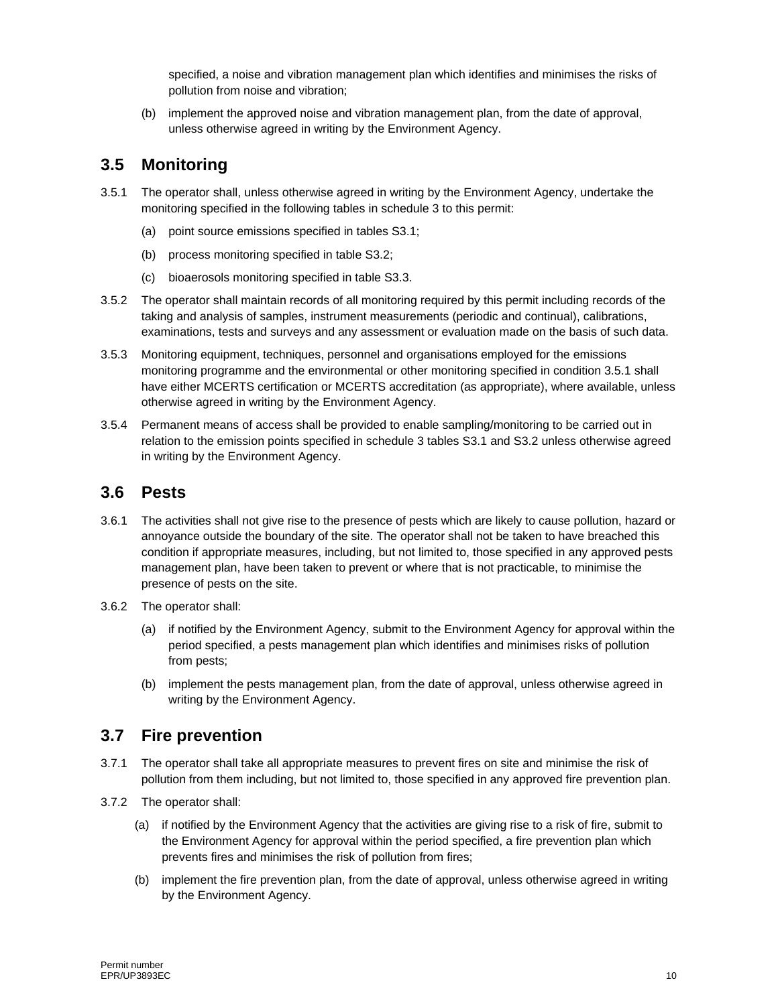specified, a noise and vibration management plan which identifies and minimises the risks of pollution from noise and vibration;

(b) implement the approved noise and vibration management plan, from the date of approval, unless otherwise agreed in writing by the Environment Agency.

### **3.5 Monitoring**

- 3.5.1 The operator shall, unless otherwise agreed in writing by the Environment Agency, undertake the monitoring specified in the following tables in schedule 3 to this permit:
	- (a) point source emissions specified in tables S3.1;
	- (b) process monitoring specified in table S3.2;
	- (c) bioaerosols monitoring specified in table S3.3.
- 3.5.2 The operator shall maintain records of all monitoring required by this permit including records of the taking and analysis of samples, instrument measurements (periodic and continual), calibrations, examinations, tests and surveys and any assessment or evaluation made on the basis of such data.
- 3.5.3 Monitoring equipment, techniques, personnel and organisations employed for the emissions monitoring programme and the environmental or other monitoring specified in condition 3.5.1 shall have either MCERTS certification or MCERTS accreditation (as appropriate), where available, unless otherwise agreed in writing by the Environment Agency.
- 3.5.4 Permanent means of access shall be provided to enable sampling/monitoring to be carried out in relation to the emission points specified in schedule 3 tables S3.1 and S3.2 unless otherwise agreed in writing by the Environment Agency.

#### **3.6 Pests**

- 3.6.1 The activities shall not give rise to the presence of pests which are likely to cause pollution, hazard or annoyance outside the boundary of the site. The operator shall not be taken to have breached this condition if appropriate measures, including, but not limited to, those specified in any approved pests management plan, have been taken to prevent or where that is not practicable, to minimise the presence of pests on the site.
- 3.6.2 The operator shall:
	- (a) if notified by the Environment Agency, submit to the Environment Agency for approval within the period specified, a pests management plan which identifies and minimises risks of pollution from pests;
	- (b) implement the pests management plan, from the date of approval, unless otherwise agreed in writing by the Environment Agency.

#### **3.7 Fire prevention**

- 3.7.1 The operator shall take all appropriate measures to prevent fires on site and minimise the risk of pollution from them including, but not limited to, those specified in any approved fire prevention plan.
- 3.7.2 The operator shall:
	- (a) if notified by the Environment Agency that the activities are giving rise to a risk of fire, submit to the Environment Agency for approval within the period specified, a fire prevention plan which prevents fires and minimises the risk of pollution from fires;
	- (b) implement the fire prevention plan, from the date of approval, unless otherwise agreed in writing by the Environment Agency.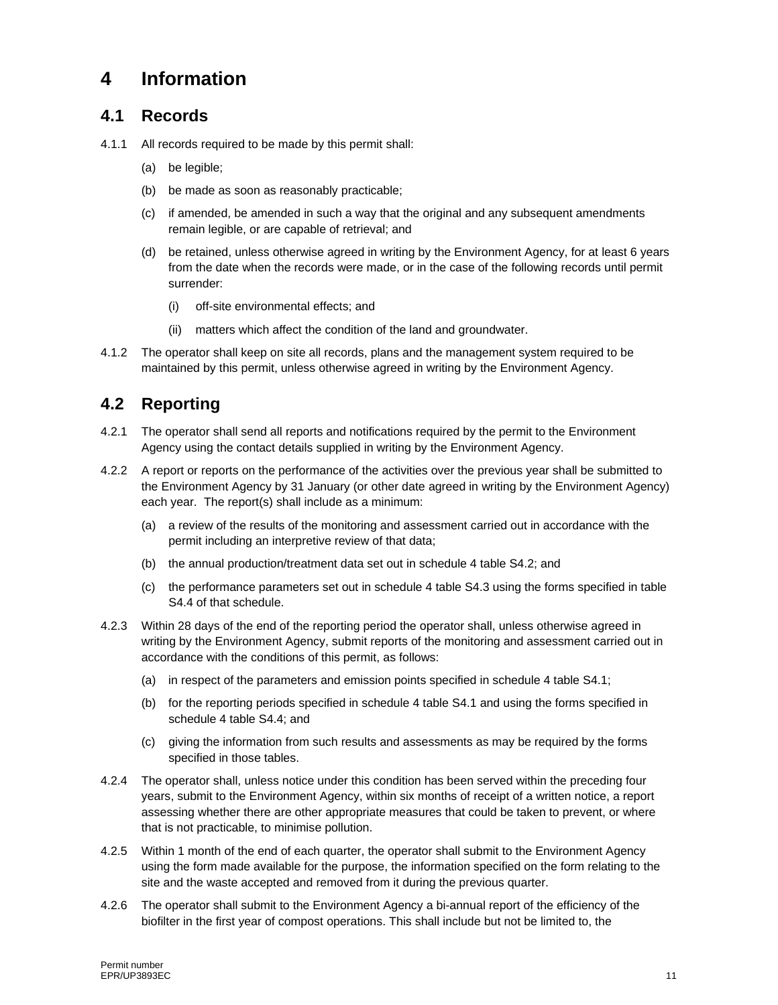## **4 Information**

#### **4.1 Records**

- 4.1.1 All records required to be made by this permit shall:
	- (a) be legible;
	- (b) be made as soon as reasonably practicable;
	- (c) if amended, be amended in such a way that the original and any subsequent amendments remain legible, or are capable of retrieval; and
	- (d) be retained, unless otherwise agreed in writing by the Environment Agency, for at least 6 years from the date when the records were made, or in the case of the following records until permit surrender:
		- (i) off-site environmental effects; and
		- (ii) matters which affect the condition of the land and groundwater.
- 4.1.2 The operator shall keep on site all records, plans and the management system required to be maintained by this permit, unless otherwise agreed in writing by the Environment Agency.

### **4.2 Reporting**

- 4.2.1 The operator shall send all reports and notifications required by the permit to the Environment Agency using the contact details supplied in writing by the Environment Agency.
- 4.2.2 A report or reports on the performance of the activities over the previous year shall be submitted to the Environment Agency by 31 January (or other date agreed in writing by the Environment Agency) each year. The report(s) shall include as a minimum:
	- (a) a review of the results of the monitoring and assessment carried out in accordance with the permit including an interpretive review of that data;
	- (b) the annual production/treatment data set out in schedule 4 table S4.2; and
	- (c) the performance parameters set out in schedule 4 table S4.3 using the forms specified in table S4.4 of that schedule.
- 4.2.3 Within 28 days of the end of the reporting period the operator shall, unless otherwise agreed in writing by the Environment Agency, submit reports of the monitoring and assessment carried out in accordance with the conditions of this permit, as follows:
	- (a) in respect of the parameters and emission points specified in schedule 4 table S4.1;
	- (b) for the reporting periods specified in schedule 4 table S4.1 and using the forms specified in schedule 4 table S4.4; and
	- (c) giving the information from such results and assessments as may be required by the forms specified in those tables.
- 4.2.4 The operator shall, unless notice under this condition has been served within the preceding four years, submit to the Environment Agency, within six months of receipt of a written notice, a report assessing whether there are other appropriate measures that could be taken to prevent, or where that is not practicable, to minimise pollution.
- 4.2.5 Within 1 month of the end of each quarter, the operator shall submit to the Environment Agency using the form made available for the purpose, the information specified on the form relating to the site and the waste accepted and removed from it during the previous quarter.
- 4.2.6 The operator shall submit to the Environment Agency a bi-annual report of the efficiency of the biofilter in the first year of compost operations. This shall include but not be limited to, the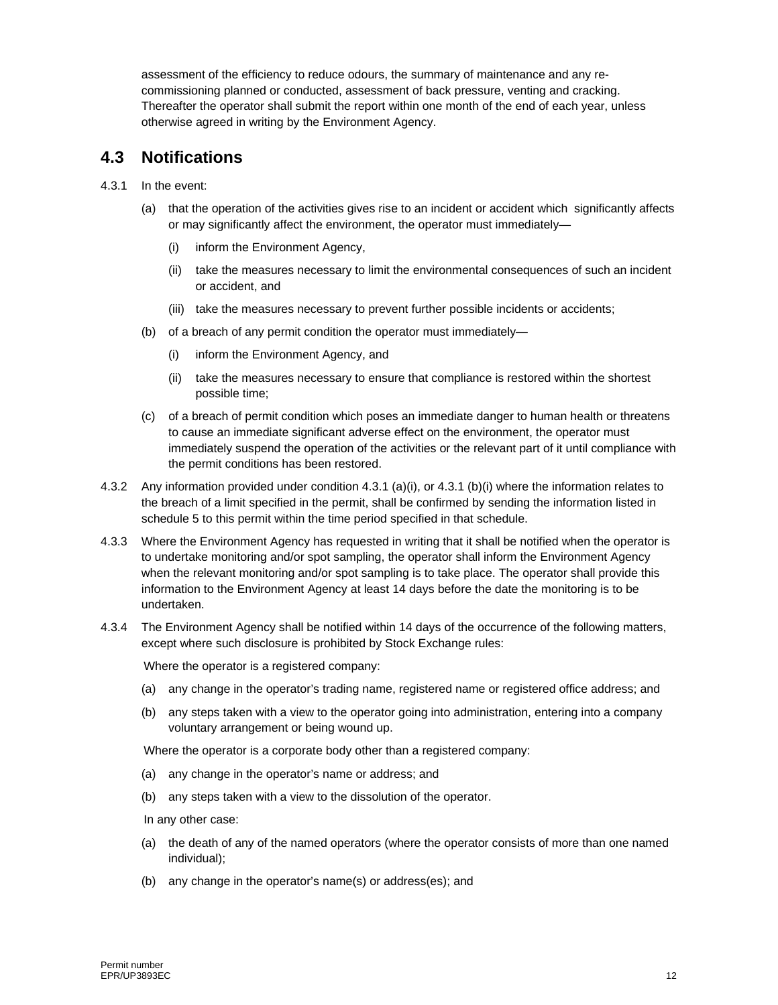assessment of the efficiency to reduce odours, the summary of maintenance and any recommissioning planned or conducted, assessment of back pressure, venting and cracking. Thereafter the operator shall submit the report within one month of the end of each year, unless otherwise agreed in writing by the Environment Agency.

#### **4.3 Notifications**

- 4.3.1 In the event:
	- (a) that the operation of the activities gives rise to an incident or accident which significantly affects or may significantly affect the environment, the operator must immediately—
		- (i) inform the Environment Agency,
		- (ii) take the measures necessary to limit the environmental consequences of such an incident or accident, and
		- (iii) take the measures necessary to prevent further possible incidents or accidents;
	- (b) of a breach of any permit condition the operator must immediately—
		- (i) inform the Environment Agency, and
		- (ii) take the measures necessary to ensure that compliance is restored within the shortest possible time;
	- (c) of a breach of permit condition which poses an immediate danger to human health or threatens to cause an immediate significant adverse effect on the environment, the operator must immediately suspend the operation of the activities or the relevant part of it until compliance with the permit conditions has been restored.
- 4.3.2 Any information provided under condition 4.3.1 (a)(i), or 4.3.1 (b)(i) where the information relates to the breach of a limit specified in the permit, shall be confirmed by sending the information listed in schedule 5 to this permit within the time period specified in that schedule.
- 4.3.3 Where the Environment Agency has requested in writing that it shall be notified when the operator is to undertake monitoring and/or spot sampling, the operator shall inform the Environment Agency when the relevant monitoring and/or spot sampling is to take place. The operator shall provide this information to the Environment Agency at least 14 days before the date the monitoring is to be undertaken.
- 4.3.4 The Environment Agency shall be notified within 14 days of the occurrence of the following matters, except where such disclosure is prohibited by Stock Exchange rules:

Where the operator is a registered company:

- (a) any change in the operator's trading name, registered name or registered office address; and
- (b) any steps taken with a view to the operator going into administration, entering into a company voluntary arrangement or being wound up.

Where the operator is a corporate body other than a registered company:

- (a) any change in the operator's name or address; and
- (b) any steps taken with a view to the dissolution of the operator.

In any other case:

- (a) the death of any of the named operators (where the operator consists of more than one named individual);
- (b) any change in the operator's name(s) or address(es); and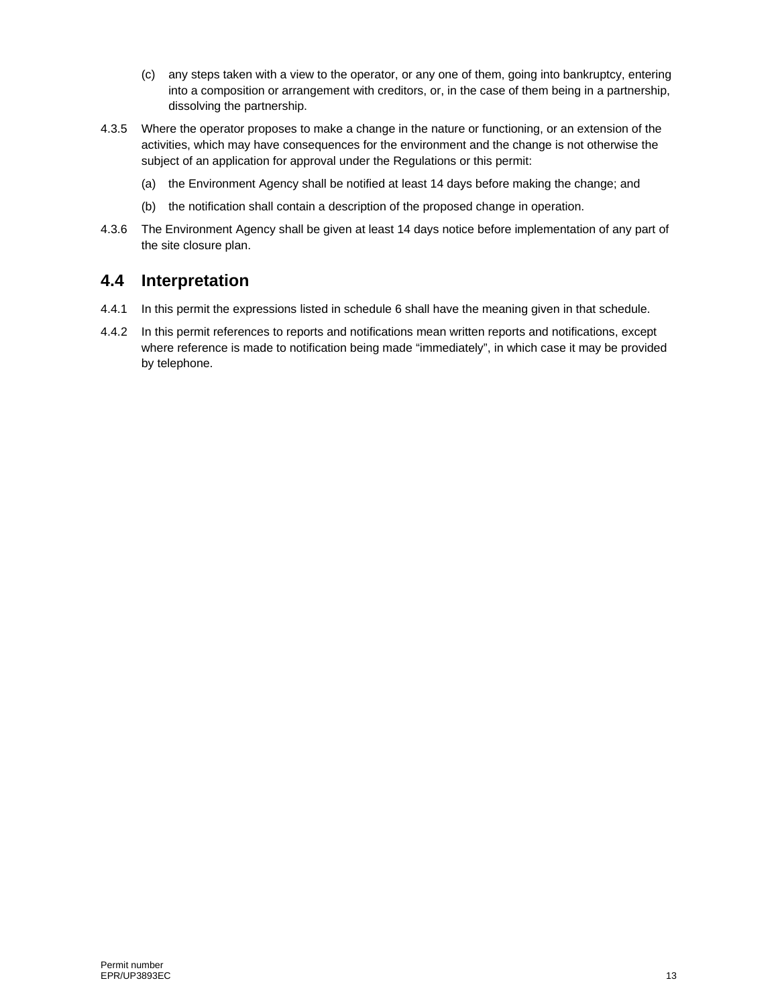- (c) any steps taken with a view to the operator, or any one of them, going into bankruptcy, entering into a composition or arrangement with creditors, or, in the case of them being in a partnership, dissolving the partnership.
- 4.3.5 Where the operator proposes to make a change in the nature or functioning, or an extension of the activities, which may have consequences for the environment and the change is not otherwise the subject of an application for approval under the Regulations or this permit:
	- (a) the Environment Agency shall be notified at least 14 days before making the change; and
	- (b) the notification shall contain a description of the proposed change in operation.
- 4.3.6 The Environment Agency shall be given at least 14 days notice before implementation of any part of the site closure plan.

### **4.4 Interpretation**

- 4.4.1 In this permit the expressions listed in schedule 6 shall have the meaning given in that schedule.
- 4.4.2 In this permit references to reports and notifications mean written reports and notifications, except where reference is made to notification being made "immediately", in which case it may be provided by telephone.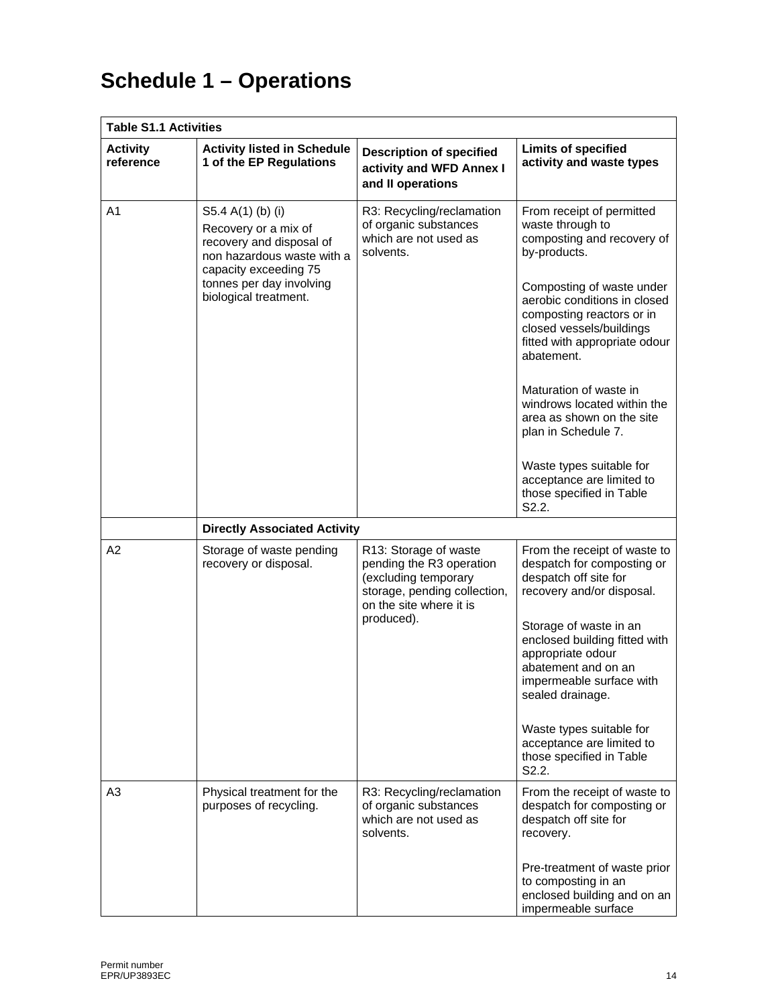# **Schedule 1 – Operations**

| <b>Table S1.1 Activities</b> |                                                                                                                                                                                   |                                                                                                                                                    |                                                                                                                                                                                                                                                                                                                                                                                                                                                                    |  |
|------------------------------|-----------------------------------------------------------------------------------------------------------------------------------------------------------------------------------|----------------------------------------------------------------------------------------------------------------------------------------------------|--------------------------------------------------------------------------------------------------------------------------------------------------------------------------------------------------------------------------------------------------------------------------------------------------------------------------------------------------------------------------------------------------------------------------------------------------------------------|--|
| <b>Activity</b><br>reference | <b>Activity listed in Schedule</b><br>1 of the EP Regulations                                                                                                                     | <b>Description of specified</b><br>activity and WFD Annex I<br>and II operations                                                                   | <b>Limits of specified</b><br>activity and waste types                                                                                                                                                                                                                                                                                                                                                                                                             |  |
| A1                           | S5.4 A(1) (b) (i)<br>Recovery or a mix of<br>recovery and disposal of<br>non hazardous waste with a<br>capacity exceeding 75<br>tonnes per day involving<br>biological treatment. | R3: Recycling/reclamation<br>of organic substances<br>which are not used as<br>solvents.                                                           | From receipt of permitted<br>waste through to<br>composting and recovery of<br>by-products.<br>Composting of waste under<br>aerobic conditions in closed<br>composting reactors or in<br>closed vessels/buildings<br>fitted with appropriate odour<br>abatement.<br>Maturation of waste in<br>windrows located within the<br>area as shown on the site<br>plan in Schedule 7.<br>Waste types suitable for<br>acceptance are limited to<br>those specified in Table |  |
|                              |                                                                                                                                                                                   |                                                                                                                                                    | S2.2.                                                                                                                                                                                                                                                                                                                                                                                                                                                              |  |
| A <sub>2</sub>               | <b>Directly Associated Activity</b><br>Storage of waste pending<br>recovery or disposal.                                                                                          | R13: Storage of waste<br>pending the R3 operation<br>(excluding temporary<br>storage, pending collection,<br>on the site where it is<br>produced). | From the receipt of waste to<br>despatch for composting or<br>despatch off site for<br>recovery and/or disposal.<br>Storage of waste in an<br>enclosed building fitted with<br>appropriate odour<br>abatement and on an<br>impermeable surface with<br>sealed drainage.<br>Waste types suitable for<br>acceptance are limited to<br>those specified in Table<br>S <sub>2.2</sub> .                                                                                 |  |
| A <sub>3</sub>               | Physical treatment for the<br>purposes of recycling.                                                                                                                              | R3: Recycling/reclamation<br>of organic substances<br>which are not used as<br>solvents.                                                           | From the receipt of waste to<br>despatch for composting or<br>despatch off site for<br>recovery.<br>Pre-treatment of waste prior<br>to composting in an<br>enclosed building and on an<br>impermeable surface                                                                                                                                                                                                                                                      |  |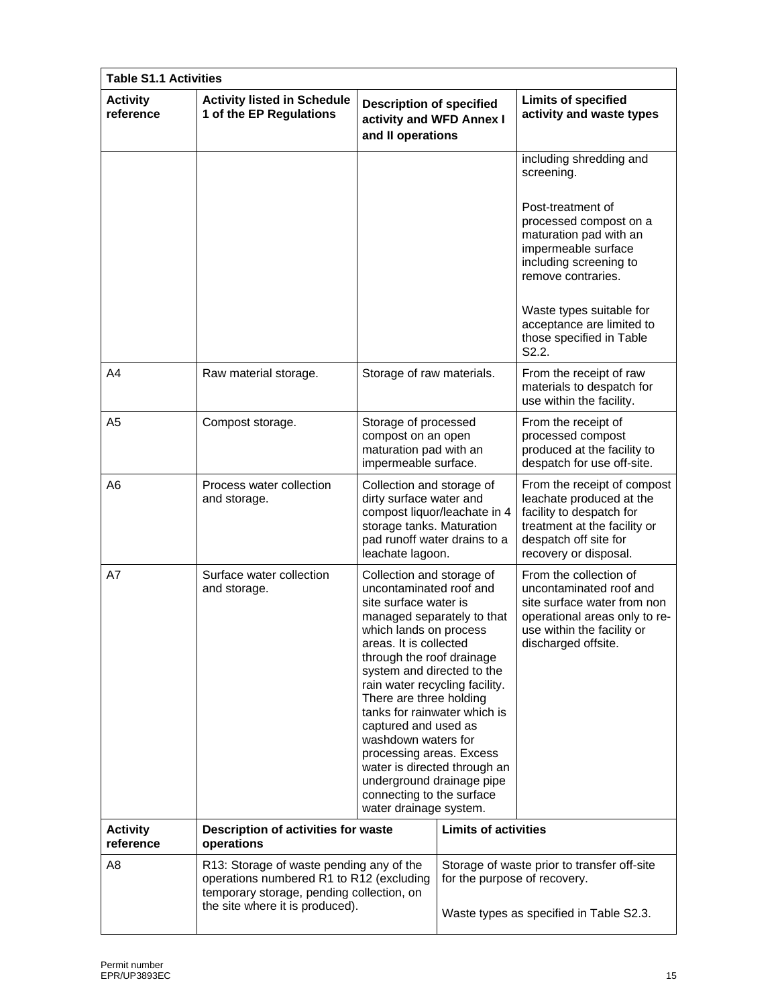| <b>Table S1.1 Activities</b> |                                                                                                                                                                      |                                                                                                                                                                                                                                                                                                                                                                                                                                                                                                                        |                              |                                                                                                                                                                        |
|------------------------------|----------------------------------------------------------------------------------------------------------------------------------------------------------------------|------------------------------------------------------------------------------------------------------------------------------------------------------------------------------------------------------------------------------------------------------------------------------------------------------------------------------------------------------------------------------------------------------------------------------------------------------------------------------------------------------------------------|------------------------------|------------------------------------------------------------------------------------------------------------------------------------------------------------------------|
| <b>Activity</b><br>reference | <b>Activity listed in Schedule</b><br>1 of the EP Regulations                                                                                                        | <b>Description of specified</b><br>activity and WFD Annex I<br>and II operations                                                                                                                                                                                                                                                                                                                                                                                                                                       |                              | <b>Limits of specified</b><br>activity and waste types                                                                                                                 |
|                              |                                                                                                                                                                      |                                                                                                                                                                                                                                                                                                                                                                                                                                                                                                                        |                              | including shredding and<br>screening.                                                                                                                                  |
|                              |                                                                                                                                                                      |                                                                                                                                                                                                                                                                                                                                                                                                                                                                                                                        |                              | Post-treatment of<br>processed compost on a<br>maturation pad with an<br>impermeable surface<br>including screening to<br>remove contraries.                           |
|                              |                                                                                                                                                                      |                                                                                                                                                                                                                                                                                                                                                                                                                                                                                                                        |                              | Waste types suitable for<br>acceptance are limited to<br>those specified in Table<br>S2.2.                                                                             |
| A4                           | Raw material storage.                                                                                                                                                | Storage of raw materials.                                                                                                                                                                                                                                                                                                                                                                                                                                                                                              |                              | From the receipt of raw<br>materials to despatch for<br>use within the facility.                                                                                       |
| A5                           | Compost storage.                                                                                                                                                     | Storage of processed<br>compost on an open<br>maturation pad with an<br>impermeable surface.                                                                                                                                                                                                                                                                                                                                                                                                                           |                              | From the receipt of<br>processed compost<br>produced at the facility to<br>despatch for use off-site.                                                                  |
| A6                           | Process water collection<br>and storage.                                                                                                                             | Collection and storage of<br>dirty surface water and<br>storage tanks. Maturation<br>pad runoff water drains to a<br>leachate lagoon.                                                                                                                                                                                                                                                                                                                                                                                  | compost liquor/leachate in 4 | From the receipt of compost<br>leachate produced at the<br>facility to despatch for<br>treatment at the facility or<br>despatch off site for<br>recovery or disposal.  |
| A7                           | Surface water collection<br>and storage.                                                                                                                             | Collection and storage of<br>uncontaminated roof and<br>site surface water is<br>managed separately to that<br>which lands on process<br>areas. It is collected<br>through the roof drainage<br>system and directed to the<br>rain water recycling facility.<br>There are three holding<br>tanks for rainwater which is<br>captured and used as<br>washdown waters for<br>processing areas. Excess<br>water is directed through an<br>underground drainage pipe<br>connecting to the surface<br>water drainage system. |                              | From the collection of<br>uncontaminated roof and<br>site surface water from non<br>operational areas only to re-<br>use within the facility or<br>discharged offsite. |
| <b>Activity</b><br>reference | Description of activities for waste<br>operations                                                                                                                    |                                                                                                                                                                                                                                                                                                                                                                                                                                                                                                                        | <b>Limits of activities</b>  |                                                                                                                                                                        |
| A8                           | R13: Storage of waste pending any of the<br>operations numbered R1 to R12 (excluding<br>temporary storage, pending collection, on<br>the site where it is produced). |                                                                                                                                                                                                                                                                                                                                                                                                                                                                                                                        | for the purpose of recovery. | Storage of waste prior to transfer off-site<br>Waste types as specified in Table S2.3.                                                                                 |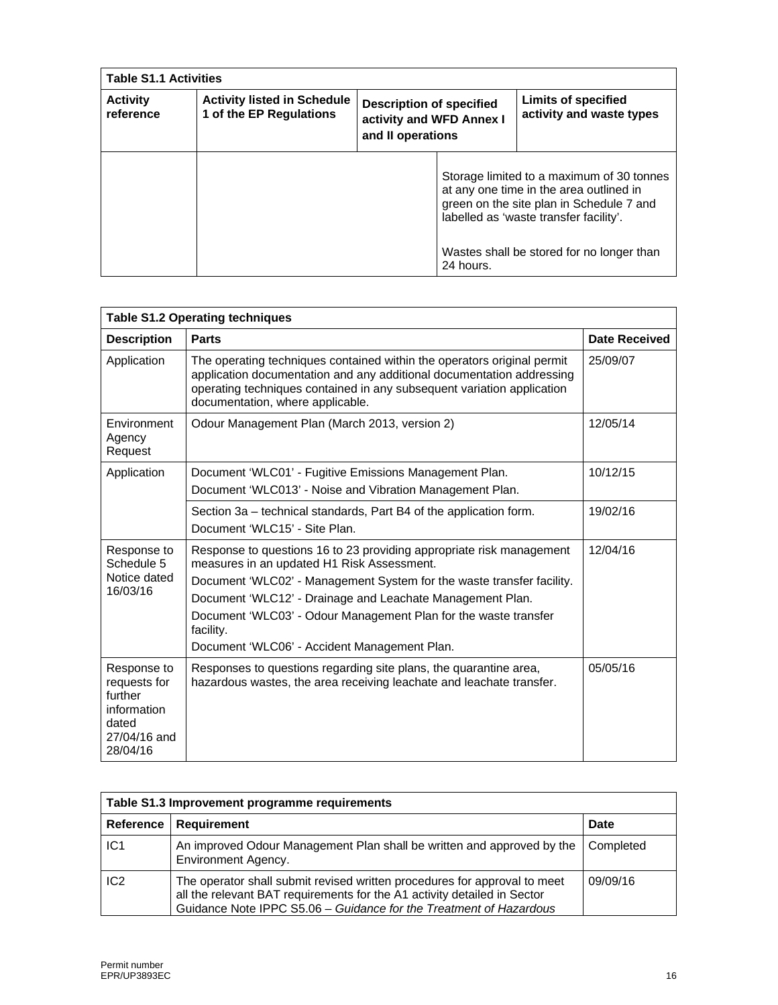| <b>Table S1.1 Activities</b> |                                                               |                                                                                  |           |                                                                                                                                                                            |
|------------------------------|---------------------------------------------------------------|----------------------------------------------------------------------------------|-----------|----------------------------------------------------------------------------------------------------------------------------------------------------------------------------|
| <b>Activity</b><br>reference | <b>Activity listed in Schedule</b><br>1 of the EP Regulations | <b>Description of specified</b><br>activity and WFD Annex I<br>and II operations |           | Limits of specified<br>activity and waste types                                                                                                                            |
|                              |                                                               |                                                                                  |           | Storage limited to a maximum of 30 tonnes<br>at any one time in the area outlined in<br>green on the site plan in Schedule 7 and<br>labelled as 'waste transfer facility'. |
|                              |                                                               |                                                                                  | 24 hours. | Wastes shall be stored for no longer than                                                                                                                                  |

| <b>Table S1.2 Operating techniques</b>                                                     |                                                                                                                                                                                                                                                                                                                                                                                          |                      |  |
|--------------------------------------------------------------------------------------------|------------------------------------------------------------------------------------------------------------------------------------------------------------------------------------------------------------------------------------------------------------------------------------------------------------------------------------------------------------------------------------------|----------------------|--|
| <b>Description</b>                                                                         | <b>Parts</b>                                                                                                                                                                                                                                                                                                                                                                             | <b>Date Received</b> |  |
| Application                                                                                | The operating techniques contained within the operators original permit<br>application documentation and any additional documentation addressing<br>operating techniques contained in any subsequent variation application<br>documentation, where applicable.                                                                                                                           | 25/09/07             |  |
| Environment<br>Agency<br>Request                                                           | Odour Management Plan (March 2013, version 2)                                                                                                                                                                                                                                                                                                                                            | 12/05/14             |  |
| Application                                                                                | Document 'WLC01' - Fugitive Emissions Management Plan.<br>Document 'WLC013' - Noise and Vibration Management Plan.                                                                                                                                                                                                                                                                       | 10/12/15             |  |
|                                                                                            | Section 3a - technical standards, Part B4 of the application form.<br>Document 'WLC15' - Site Plan.                                                                                                                                                                                                                                                                                      | 19/02/16             |  |
| Response to<br>Schedule 5<br>Notice dated<br>16/03/16                                      | Response to questions 16 to 23 providing appropriate risk management<br>measures in an updated H1 Risk Assessment.<br>Document 'WLC02' - Management System for the waste transfer facility.<br>Document 'WLC12' - Drainage and Leachate Management Plan.<br>Document 'WLC03' - Odour Management Plan for the waste transfer<br>facility.<br>Document 'WLC06' - Accident Management Plan. | 12/04/16             |  |
| Response to<br>requests for<br>further<br>information<br>dated<br>27/04/16 and<br>28/04/16 | Responses to questions regarding site plans, the quarantine area,<br>hazardous wastes, the area receiving leachate and leachate transfer.                                                                                                                                                                                                                                                | 05/05/16             |  |

| Table S1.3 Improvement programme requirements |                                                                                                                                                                                                                             |             |  |
|-----------------------------------------------|-----------------------------------------------------------------------------------------------------------------------------------------------------------------------------------------------------------------------------|-------------|--|
| Reference                                     | Requirement                                                                                                                                                                                                                 | <b>Date</b> |  |
| IC <sub>1</sub>                               | An improved Odour Management Plan shall be written and approved by the<br>Environment Agency.                                                                                                                               | Completed   |  |
| IC <sub>2</sub>                               | The operator shall submit revised written procedures for approval to meet<br>all the relevant BAT requirements for the A1 activity detailed in Sector<br>Guidance Note IPPC S5.06 - Guidance for the Treatment of Hazardous | 09/09/16    |  |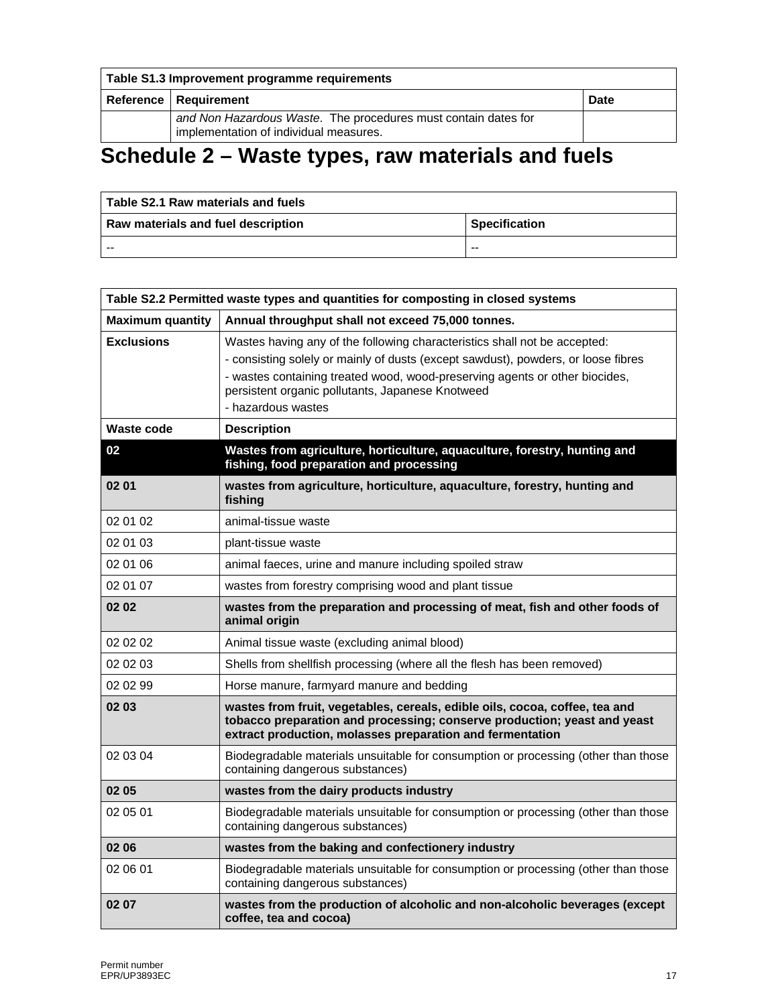| Table S1.3 Improvement programme requirements |                                                                                                          |             |
|-----------------------------------------------|----------------------------------------------------------------------------------------------------------|-------------|
|                                               | Reference   Requirement                                                                                  | <b>Date</b> |
|                                               | and Non Hazardous Waste. The procedures must contain dates for<br>implementation of individual measures. |             |

# **Schedule 2 – Waste types, raw materials and fuels**

| l Table S2.1 Raw materials and fuels l |                      |  |
|----------------------------------------|----------------------|--|
| Raw materials and fuel description     | <b>Specification</b> |  |
| --                                     | $- -$                |  |

| Table S2.2 Permitted waste types and quantities for composting in closed systems |                                                                                                                                                                                                                                                                                                                         |  |
|----------------------------------------------------------------------------------|-------------------------------------------------------------------------------------------------------------------------------------------------------------------------------------------------------------------------------------------------------------------------------------------------------------------------|--|
| <b>Maximum quantity</b>                                                          | Annual throughput shall not exceed 75,000 tonnes.                                                                                                                                                                                                                                                                       |  |
| <b>Exclusions</b>                                                                | Wastes having any of the following characteristics shall not be accepted:<br>- consisting solely or mainly of dusts (except sawdust), powders, or loose fibres<br>- wastes containing treated wood, wood-preserving agents or other biocides,<br>persistent organic pollutants, Japanese Knotweed<br>- hazardous wastes |  |
| Waste code                                                                       | <b>Description</b>                                                                                                                                                                                                                                                                                                      |  |
| 02                                                                               | Wastes from agriculture, horticulture, aquaculture, forestry, hunting and<br>fishing, food preparation and processing                                                                                                                                                                                                   |  |
| 02 01                                                                            | wastes from agriculture, horticulture, aquaculture, forestry, hunting and<br>fishing                                                                                                                                                                                                                                    |  |
| 02 01 02                                                                         | animal-tissue waste                                                                                                                                                                                                                                                                                                     |  |
| 02 01 03                                                                         | plant-tissue waste                                                                                                                                                                                                                                                                                                      |  |
| 02 01 06                                                                         | animal faeces, urine and manure including spoiled straw                                                                                                                                                                                                                                                                 |  |
| 02 01 07                                                                         | wastes from forestry comprising wood and plant tissue                                                                                                                                                                                                                                                                   |  |
| 02 02                                                                            | wastes from the preparation and processing of meat, fish and other foods of<br>animal origin                                                                                                                                                                                                                            |  |
| 02 02 02                                                                         | Animal tissue waste (excluding animal blood)                                                                                                                                                                                                                                                                            |  |
| 02 02 03                                                                         | Shells from shellfish processing (where all the flesh has been removed)                                                                                                                                                                                                                                                 |  |
| 02 02 99                                                                         | Horse manure, farmyard manure and bedding                                                                                                                                                                                                                                                                               |  |
| 02 03                                                                            | wastes from fruit, vegetables, cereals, edible oils, cocoa, coffee, tea and<br>tobacco preparation and processing; conserve production; yeast and yeast<br>extract production, molasses preparation and fermentation                                                                                                    |  |
| 02 03 04                                                                         | Biodegradable materials unsuitable for consumption or processing (other than those<br>containing dangerous substances)                                                                                                                                                                                                  |  |
| 02 05                                                                            | wastes from the dairy products industry                                                                                                                                                                                                                                                                                 |  |
| 02 05 01                                                                         | Biodegradable materials unsuitable for consumption or processing (other than those<br>containing dangerous substances)                                                                                                                                                                                                  |  |
| 02 06                                                                            | wastes from the baking and confectionery industry                                                                                                                                                                                                                                                                       |  |
| 02 06 01                                                                         | Biodegradable materials unsuitable for consumption or processing (other than those<br>containing dangerous substances)                                                                                                                                                                                                  |  |
| 02 07                                                                            | wastes from the production of alcoholic and non-alcoholic beverages (except<br>coffee, tea and cocoa)                                                                                                                                                                                                                   |  |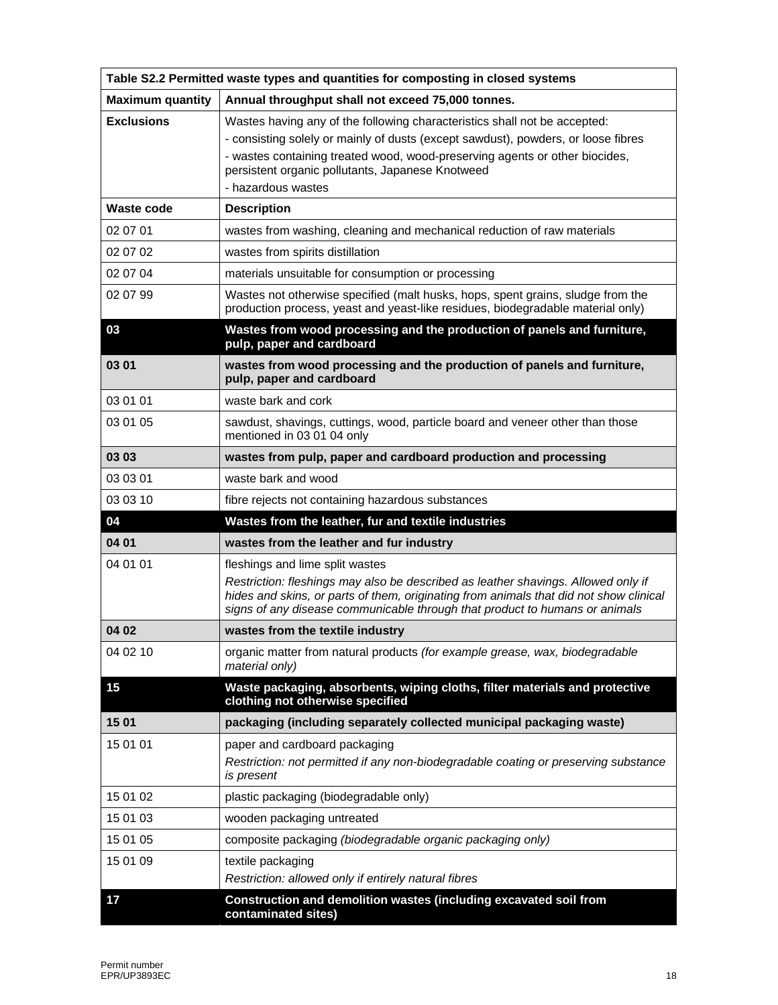| Table S2.2 Permitted waste types and quantities for composting in closed systems |                                                                                                                                                                                                                                                                                                                         |  |  |  |
|----------------------------------------------------------------------------------|-------------------------------------------------------------------------------------------------------------------------------------------------------------------------------------------------------------------------------------------------------------------------------------------------------------------------|--|--|--|
| <b>Maximum quantity</b>                                                          | Annual throughput shall not exceed 75,000 tonnes.                                                                                                                                                                                                                                                                       |  |  |  |
| <b>Exclusions</b>                                                                | Wastes having any of the following characteristics shall not be accepted:<br>- consisting solely or mainly of dusts (except sawdust), powders, or loose fibres<br>- wastes containing treated wood, wood-preserving agents or other biocides,<br>persistent organic pollutants, Japanese Knotweed<br>- hazardous wastes |  |  |  |
| <b>Waste code</b>                                                                | <b>Description</b>                                                                                                                                                                                                                                                                                                      |  |  |  |
| 02 07 01                                                                         | wastes from washing, cleaning and mechanical reduction of raw materials                                                                                                                                                                                                                                                 |  |  |  |
| 02 07 02                                                                         | wastes from spirits distillation                                                                                                                                                                                                                                                                                        |  |  |  |
| 02 07 04                                                                         | materials unsuitable for consumption or processing                                                                                                                                                                                                                                                                      |  |  |  |
| 02 07 99                                                                         | Wastes not otherwise specified (malt husks, hops, spent grains, sludge from the<br>production process, yeast and yeast-like residues, biodegradable material only)                                                                                                                                                      |  |  |  |
| 03                                                                               | Wastes from wood processing and the production of panels and furniture,<br>pulp, paper and cardboard                                                                                                                                                                                                                    |  |  |  |
| 03 01                                                                            | wastes from wood processing and the production of panels and furniture,<br>pulp, paper and cardboard                                                                                                                                                                                                                    |  |  |  |
| 03 01 01                                                                         | waste bark and cork                                                                                                                                                                                                                                                                                                     |  |  |  |
| 03 01 05                                                                         | sawdust, shavings, cuttings, wood, particle board and veneer other than those<br>mentioned in 03 01 04 only                                                                                                                                                                                                             |  |  |  |
| 03 03                                                                            | wastes from pulp, paper and cardboard production and processing                                                                                                                                                                                                                                                         |  |  |  |
| 03 03 01                                                                         | waste bark and wood                                                                                                                                                                                                                                                                                                     |  |  |  |
| 03 03 10                                                                         | fibre rejects not containing hazardous substances                                                                                                                                                                                                                                                                       |  |  |  |
| 04                                                                               | Wastes from the leather, fur and textile industries                                                                                                                                                                                                                                                                     |  |  |  |
| 04 01                                                                            | wastes from the leather and fur industry                                                                                                                                                                                                                                                                                |  |  |  |
| 04 01 01                                                                         | fleshings and lime split wastes<br>Restriction: fleshings may also be described as leather shavings. Allowed only if<br>hides and skins, or parts of them, originating from animals that did not show clinical<br>signs of any disease communicable through that product to humans or animals                           |  |  |  |
| 04 02                                                                            | wastes from the textile industry                                                                                                                                                                                                                                                                                        |  |  |  |
| 04 02 10                                                                         | organic matter from natural products (for example grease, wax, biodegradable<br>material only)                                                                                                                                                                                                                          |  |  |  |
| 15                                                                               | Waste packaging, absorbents, wiping cloths, filter materials and protective<br>clothing not otherwise specified                                                                                                                                                                                                         |  |  |  |
| 15 01                                                                            | packaging (including separately collected municipal packaging waste)                                                                                                                                                                                                                                                    |  |  |  |
| 15 01 01                                                                         | paper and cardboard packaging<br>Restriction: not permitted if any non-biodegradable coating or preserving substance<br>is present                                                                                                                                                                                      |  |  |  |
| 15 01 02                                                                         | plastic packaging (biodegradable only)                                                                                                                                                                                                                                                                                  |  |  |  |
| 15 01 03                                                                         | wooden packaging untreated                                                                                                                                                                                                                                                                                              |  |  |  |
| 15 01 05                                                                         | composite packaging (biodegradable organic packaging only)                                                                                                                                                                                                                                                              |  |  |  |
| 15 01 09                                                                         | textile packaging<br>Restriction: allowed only if entirely natural fibres                                                                                                                                                                                                                                               |  |  |  |
| 17                                                                               | Construction and demolition wastes (including excavated soil from<br>contaminated sites)                                                                                                                                                                                                                                |  |  |  |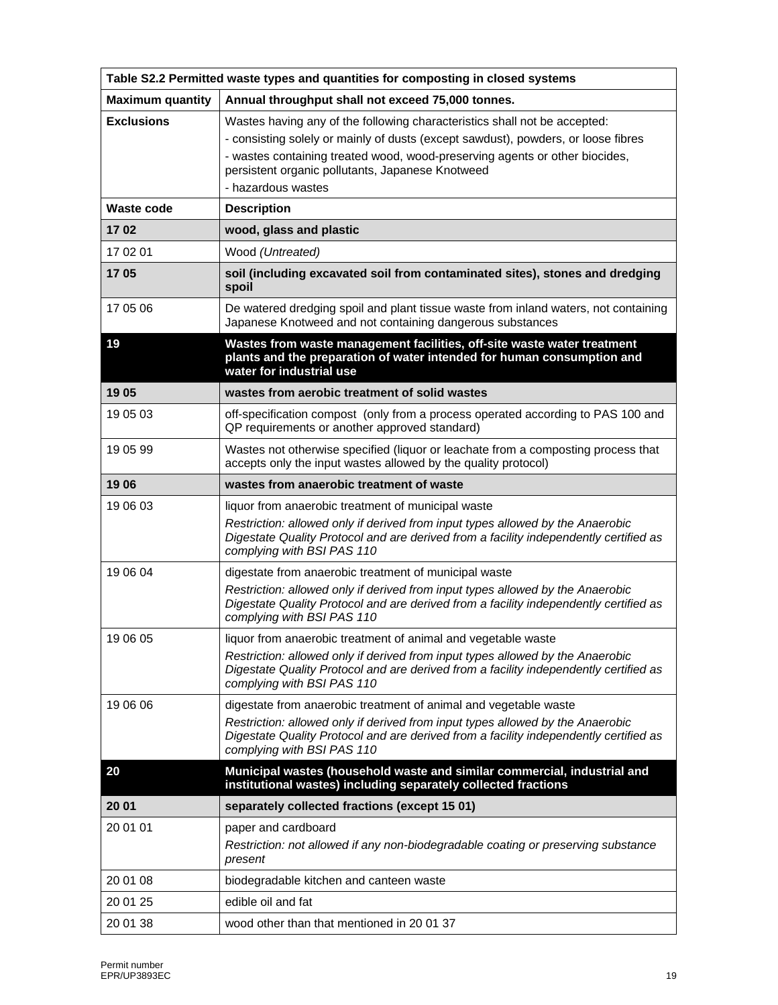| Table S2.2 Permitted waste types and quantities for composting in closed systems |                                                                                                                                                                                                                                                                                                                         |  |  |  |  |
|----------------------------------------------------------------------------------|-------------------------------------------------------------------------------------------------------------------------------------------------------------------------------------------------------------------------------------------------------------------------------------------------------------------------|--|--|--|--|
| <b>Maximum quantity</b>                                                          | Annual throughput shall not exceed 75,000 tonnes.                                                                                                                                                                                                                                                                       |  |  |  |  |
| <b>Exclusions</b>                                                                | Wastes having any of the following characteristics shall not be accepted:<br>- consisting solely or mainly of dusts (except sawdust), powders, or loose fibres<br>- wastes containing treated wood, wood-preserving agents or other biocides,<br>persistent organic pollutants, Japanese Knotweed<br>- hazardous wastes |  |  |  |  |
| <b>Waste code</b>                                                                | <b>Description</b>                                                                                                                                                                                                                                                                                                      |  |  |  |  |
| 1702                                                                             | wood, glass and plastic                                                                                                                                                                                                                                                                                                 |  |  |  |  |
| 17 02 01                                                                         | Wood (Untreated)                                                                                                                                                                                                                                                                                                        |  |  |  |  |
| 1705                                                                             | soil (including excavated soil from contaminated sites), stones and dredging<br>spoil                                                                                                                                                                                                                                   |  |  |  |  |
| 17 05 06                                                                         | De watered dredging spoil and plant tissue waste from inland waters, not containing<br>Japanese Knotweed and not containing dangerous substances                                                                                                                                                                        |  |  |  |  |
| 19                                                                               | Wastes from waste management facilities, off-site waste water treatment<br>plants and the preparation of water intended for human consumption and<br>water for industrial use                                                                                                                                           |  |  |  |  |
| 19 05                                                                            | wastes from aerobic treatment of solid wastes                                                                                                                                                                                                                                                                           |  |  |  |  |
| 19 05 03                                                                         | off-specification compost (only from a process operated according to PAS 100 and<br>QP requirements or another approved standard)                                                                                                                                                                                       |  |  |  |  |
| 19 05 99                                                                         | Wastes not otherwise specified (liquor or leachate from a composting process that<br>accepts only the input wastes allowed by the quality protocol)                                                                                                                                                                     |  |  |  |  |
| 1906                                                                             | wastes from anaerobic treatment of waste                                                                                                                                                                                                                                                                                |  |  |  |  |
| 19 06 03                                                                         | liquor from anaerobic treatment of municipal waste<br>Restriction: allowed only if derived from input types allowed by the Anaerobic<br>Digestate Quality Protocol and are derived from a facility independently certified as<br>complying with BSI PAS 110                                                             |  |  |  |  |
| 19 06 04                                                                         | digestate from anaerobic treatment of municipal waste<br>Restriction: allowed only if derived from input types allowed by the Anaerobic<br>Digestate Quality Protocol and are derived from a facility independently certified as<br>complying with BSI PAS 110                                                          |  |  |  |  |
| 19 06 05                                                                         | liquor from anaerobic treatment of animal and vegetable waste                                                                                                                                                                                                                                                           |  |  |  |  |
|                                                                                  | Restriction: allowed only if derived from input types allowed by the Anaerobic<br>Digestate Quality Protocol and are derived from a facility independently certified as<br>complying with BSI PAS 110                                                                                                                   |  |  |  |  |
| 19 06 06                                                                         | digestate from anaerobic treatment of animal and vegetable waste<br>Restriction: allowed only if derived from input types allowed by the Anaerobic<br>Digestate Quality Protocol and are derived from a facility independently certified as<br>complying with BSI PAS 110                                               |  |  |  |  |
| 20                                                                               | Municipal wastes (household waste and similar commercial, industrial and<br>institutional wastes) including separately collected fractions                                                                                                                                                                              |  |  |  |  |
| 20 01                                                                            | separately collected fractions (except 15 01)                                                                                                                                                                                                                                                                           |  |  |  |  |
| 20 01 01                                                                         | paper and cardboard<br>Restriction: not allowed if any non-biodegradable coating or preserving substance<br>present                                                                                                                                                                                                     |  |  |  |  |
| 20 01 08                                                                         | biodegradable kitchen and canteen waste                                                                                                                                                                                                                                                                                 |  |  |  |  |
| 20 01 25                                                                         | edible oil and fat                                                                                                                                                                                                                                                                                                      |  |  |  |  |
| 20 01 38                                                                         | wood other than that mentioned in 2001 37                                                                                                                                                                                                                                                                               |  |  |  |  |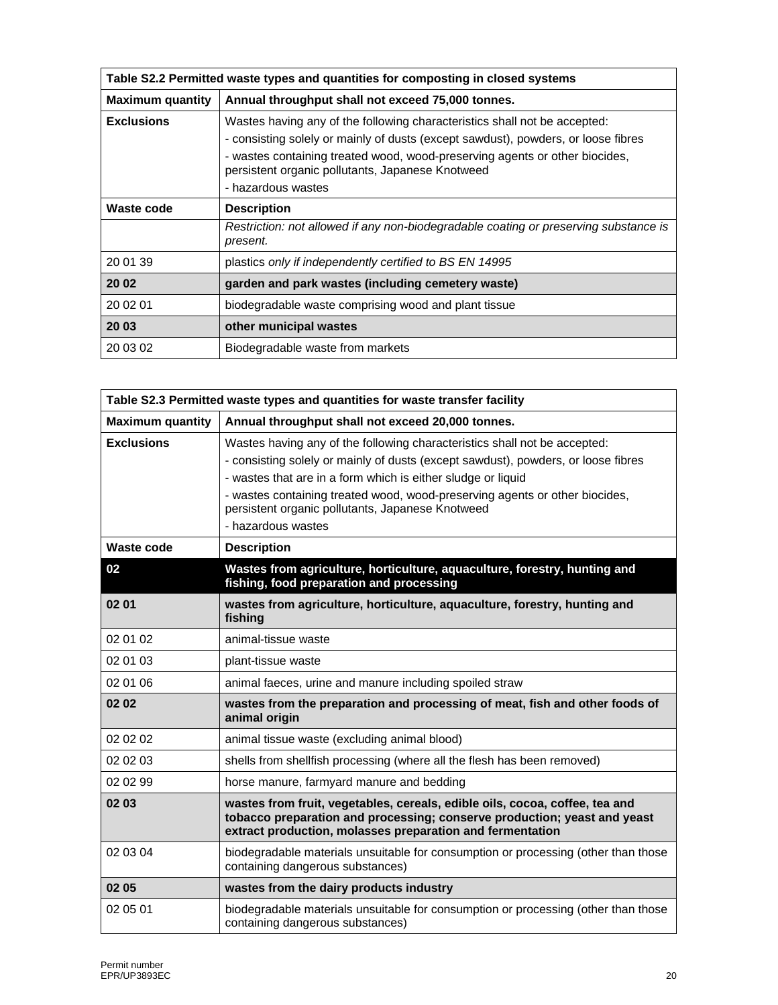| Table S2.2 Permitted waste types and quantities for composting in closed systems |                                                                                                                                                                                                                                                                                                                         |  |  |  |
|----------------------------------------------------------------------------------|-------------------------------------------------------------------------------------------------------------------------------------------------------------------------------------------------------------------------------------------------------------------------------------------------------------------------|--|--|--|
| <b>Maximum quantity</b>                                                          | Annual throughput shall not exceed 75,000 tonnes.                                                                                                                                                                                                                                                                       |  |  |  |
| <b>Exclusions</b>                                                                | Wastes having any of the following characteristics shall not be accepted:<br>- consisting solely or mainly of dusts (except sawdust), powders, or loose fibres<br>- wastes containing treated wood, wood-preserving agents or other biocides,<br>persistent organic pollutants, Japanese Knotweed<br>- hazardous wastes |  |  |  |
| Waste code                                                                       | <b>Description</b>                                                                                                                                                                                                                                                                                                      |  |  |  |
|                                                                                  | Restriction: not allowed if any non-biodegradable coating or preserving substance is<br>present.                                                                                                                                                                                                                        |  |  |  |
| 20 01 39                                                                         | plastics only if independently certified to BS EN 14995                                                                                                                                                                                                                                                                 |  |  |  |
| 20 02                                                                            | garden and park wastes (including cemetery waste)                                                                                                                                                                                                                                                                       |  |  |  |
| 20 02 01                                                                         | biodegradable waste comprising wood and plant tissue                                                                                                                                                                                                                                                                    |  |  |  |
| 20 03                                                                            | other municipal wastes                                                                                                                                                                                                                                                                                                  |  |  |  |
| 20 03 02                                                                         | Biodegradable waste from markets                                                                                                                                                                                                                                                                                        |  |  |  |

| Table S2.3 Permitted waste types and quantities for waste transfer facility |                                                                                                                                                                                                                                                                                                                                                                                         |  |  |  |
|-----------------------------------------------------------------------------|-----------------------------------------------------------------------------------------------------------------------------------------------------------------------------------------------------------------------------------------------------------------------------------------------------------------------------------------------------------------------------------------|--|--|--|
| <b>Maximum quantity</b>                                                     | Annual throughput shall not exceed 20,000 tonnes.                                                                                                                                                                                                                                                                                                                                       |  |  |  |
| <b>Exclusions</b>                                                           | Wastes having any of the following characteristics shall not be accepted:<br>- consisting solely or mainly of dusts (except sawdust), powders, or loose fibres<br>- wastes that are in a form which is either sludge or liquid<br>- wastes containing treated wood, wood-preserving agents or other biocides,<br>persistent organic pollutants, Japanese Knotweed<br>- hazardous wastes |  |  |  |
| <b>Waste code</b>                                                           | <b>Description</b>                                                                                                                                                                                                                                                                                                                                                                      |  |  |  |
| 02                                                                          | Wastes from agriculture, horticulture, aquaculture, forestry, hunting and<br>fishing, food preparation and processing                                                                                                                                                                                                                                                                   |  |  |  |
| 02 01                                                                       | wastes from agriculture, horticulture, aquaculture, forestry, hunting and<br>fishing                                                                                                                                                                                                                                                                                                    |  |  |  |
| 02 01 02                                                                    | animal-tissue waste                                                                                                                                                                                                                                                                                                                                                                     |  |  |  |
| 02 01 03                                                                    | plant-tissue waste                                                                                                                                                                                                                                                                                                                                                                      |  |  |  |
| 02 01 06                                                                    | animal faeces, urine and manure including spoiled straw                                                                                                                                                                                                                                                                                                                                 |  |  |  |
| 02 02                                                                       | wastes from the preparation and processing of meat, fish and other foods of<br>animal origin                                                                                                                                                                                                                                                                                            |  |  |  |
| 02 02 02                                                                    | animal tissue waste (excluding animal blood)                                                                                                                                                                                                                                                                                                                                            |  |  |  |
| 02 02 03                                                                    | shells from shellfish processing (where all the flesh has been removed)                                                                                                                                                                                                                                                                                                                 |  |  |  |
| 02 02 99                                                                    | horse manure, farmyard manure and bedding                                                                                                                                                                                                                                                                                                                                               |  |  |  |
| 02 03                                                                       | wastes from fruit, vegetables, cereals, edible oils, cocoa, coffee, tea and<br>tobacco preparation and processing; conserve production; yeast and yeast<br>extract production, molasses preparation and fermentation                                                                                                                                                                    |  |  |  |
| 02 03 04                                                                    | biodegradable materials unsuitable for consumption or processing (other than those<br>containing dangerous substances)                                                                                                                                                                                                                                                                  |  |  |  |
| 02 05                                                                       | wastes from the dairy products industry                                                                                                                                                                                                                                                                                                                                                 |  |  |  |
| 02 05 01                                                                    | biodegradable materials unsuitable for consumption or processing (other than those<br>containing dangerous substances)                                                                                                                                                                                                                                                                  |  |  |  |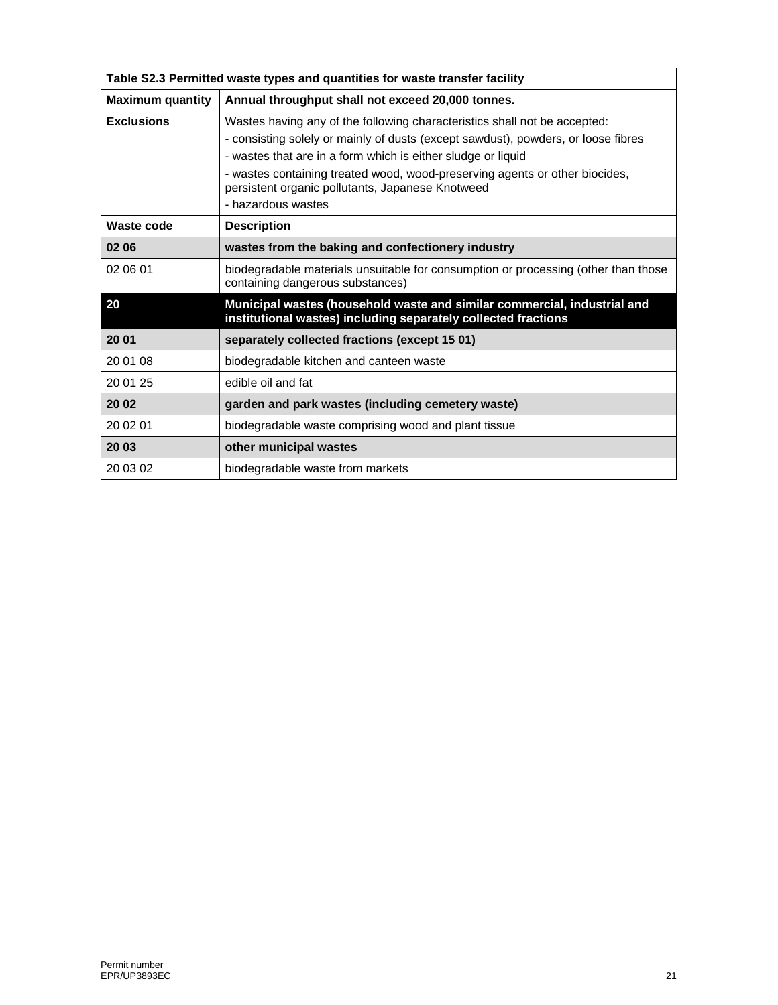| Table S2.3 Permitted waste types and quantities for waste transfer facility |                                                                                                                                                                                                                                                                                                                                                                                         |  |  |  |
|-----------------------------------------------------------------------------|-----------------------------------------------------------------------------------------------------------------------------------------------------------------------------------------------------------------------------------------------------------------------------------------------------------------------------------------------------------------------------------------|--|--|--|
| <b>Maximum quantity</b>                                                     | Annual throughput shall not exceed 20,000 tonnes.                                                                                                                                                                                                                                                                                                                                       |  |  |  |
| <b>Exclusions</b>                                                           | Wastes having any of the following characteristics shall not be accepted:<br>- consisting solely or mainly of dusts (except sawdust), powders, or loose fibres<br>- wastes that are in a form which is either sludge or liquid<br>- wastes containing treated wood, wood-preserving agents or other biocides,<br>persistent organic pollutants, Japanese Knotweed<br>- hazardous wastes |  |  |  |
| Waste code                                                                  | <b>Description</b>                                                                                                                                                                                                                                                                                                                                                                      |  |  |  |
| 02 06                                                                       | wastes from the baking and confectionery industry                                                                                                                                                                                                                                                                                                                                       |  |  |  |
| 02 06 01                                                                    | biodegradable materials unsuitable for consumption or processing (other than those<br>containing dangerous substances)                                                                                                                                                                                                                                                                  |  |  |  |
| 20                                                                          | Municipal wastes (household waste and similar commercial, industrial and<br>institutional wastes) including separately collected fractions                                                                                                                                                                                                                                              |  |  |  |
| 20 01                                                                       | separately collected fractions (except 15 01)                                                                                                                                                                                                                                                                                                                                           |  |  |  |
| 20 01 08                                                                    | biodegradable kitchen and canteen waste                                                                                                                                                                                                                                                                                                                                                 |  |  |  |
| 20 01 25                                                                    | edible oil and fat                                                                                                                                                                                                                                                                                                                                                                      |  |  |  |
| 20 02                                                                       | garden and park wastes (including cemetery waste)                                                                                                                                                                                                                                                                                                                                       |  |  |  |
| 20 02 01                                                                    | biodegradable waste comprising wood and plant tissue                                                                                                                                                                                                                                                                                                                                    |  |  |  |
| 20 03                                                                       | other municipal wastes                                                                                                                                                                                                                                                                                                                                                                  |  |  |  |
| 20 03 02                                                                    | biodegradable waste from markets                                                                                                                                                                                                                                                                                                                                                        |  |  |  |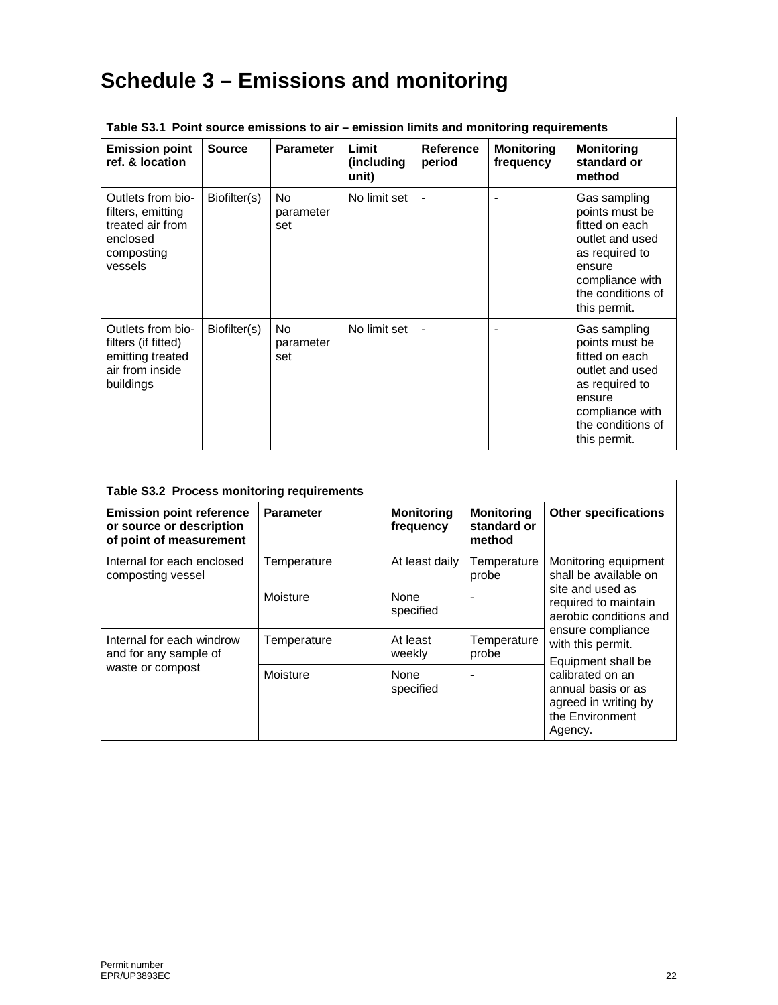# **Schedule 3 – Emissions and monitoring**

| Table S3.1 Point source emissions to air - emission limits and monitoring requirements          |               |                                    |                               |                            |                                |                                                                                                                                                         |
|-------------------------------------------------------------------------------------------------|---------------|------------------------------------|-------------------------------|----------------------------|--------------------------------|---------------------------------------------------------------------------------------------------------------------------------------------------------|
| <b>Emission point</b><br>ref. & location                                                        | <b>Source</b> | <b>Parameter</b>                   | Limit<br>(including)<br>unit) | <b>Reference</b><br>period | <b>Monitoring</b><br>frequency | <b>Monitoring</b><br>standard or<br>method                                                                                                              |
| Outlets from bio-<br>filters, emitting<br>treated air from<br>enclosed<br>composting<br>vessels | Biofilter(s)  | No<br>parameter<br>set             | No limit set                  |                            | ٠                              | Gas sampling<br>points must be<br>fitted on each<br>outlet and used<br>as required to<br>ensure<br>compliance with<br>the conditions of<br>this permit. |
| Outlets from bio-<br>filters (if fitted)<br>emitting treated<br>air from inside<br>buildings    | Biofilter(s)  | N <sub>o</sub><br>parameter<br>set | No limit set                  |                            | $\blacksquare$                 | Gas sampling<br>points must be<br>fitted on each<br>outlet and used<br>as required to<br>ensure<br>compliance with<br>the conditions of<br>this permit. |

| Table S3.2 Process monitoring requirements                                             |                  |                                |                                            |                                                                                                                                    |  |
|----------------------------------------------------------------------------------------|------------------|--------------------------------|--------------------------------------------|------------------------------------------------------------------------------------------------------------------------------------|--|
| <b>Emission point reference</b><br>or source or description<br>of point of measurement | <b>Parameter</b> | <b>Monitoring</b><br>frequency | <b>Monitoring</b><br>standard or<br>method | <b>Other specifications</b>                                                                                                        |  |
| Internal for each enclosed<br>composting vessel                                        | Temperature      | At least daily                 | Temperature<br>probe                       | Monitoring equipment<br>shall be available on                                                                                      |  |
|                                                                                        | Moisture         | None<br>specified              |                                            | site and used as<br>required to maintain<br>aerobic conditions and<br>ensure compliance<br>with this permit.<br>Equipment shall be |  |
| Internal for each windrow<br>and for any sample of                                     | Temperature      | At least<br>weekly             | Temperature<br>probe                       |                                                                                                                                    |  |
| waste or compost                                                                       | Moisture         | None<br>specified              |                                            | calibrated on an<br>annual basis or as<br>agreed in writing by<br>the Environment<br>Agency.                                       |  |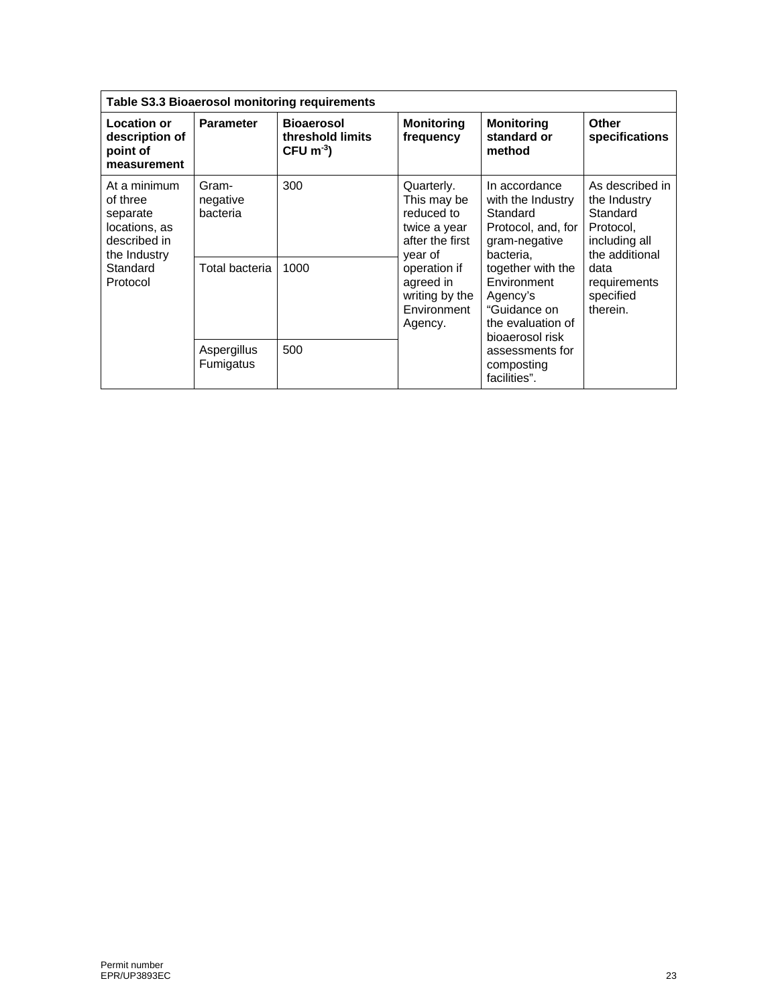| Table S3.3 Bioaerosol monitoring requirements                                                                 |                               |                                                                  |                                                                                                                                                                |                                                                                                                                                                                                            |                                                                                                                                              |  |
|---------------------------------------------------------------------------------------------------------------|-------------------------------|------------------------------------------------------------------|----------------------------------------------------------------------------------------------------------------------------------------------------------------|------------------------------------------------------------------------------------------------------------------------------------------------------------------------------------------------------------|----------------------------------------------------------------------------------------------------------------------------------------------|--|
| Location or<br>description of<br>point of<br>measurement                                                      | <b>Parameter</b>              | <b>Bioaerosol</b><br>threshold limits<br>$CFU$ m <sup>-3</sup> ) | <b>Monitoring</b><br>frequency                                                                                                                                 | <b>Monitoring</b><br>standard or<br>method                                                                                                                                                                 | Other<br>specifications                                                                                                                      |  |
| At a minimum<br>of three<br>separate<br>locations, as<br>described in<br>the Industry<br>Standard<br>Protocol | Gram-<br>negative<br>bacteria | 300                                                              | Quarterly.<br>This may be<br>reduced to<br>twice a year<br>after the first<br>year of<br>operation if<br>agreed in<br>writing by the<br>Environment<br>Agency. | In accordance<br>with the Industry<br>Standard<br>Protocol, and, for<br>gram-negative<br>bacteria,<br>together with the<br>Environment<br>Agency's<br>"Guidance on<br>the evaluation of<br>bioaerosol risk | As described in<br>the Industry<br>Standard<br>Protocol,<br>including all<br>the additional<br>data<br>requirements<br>specified<br>therein. |  |
|                                                                                                               | Total bacteria                | 1000                                                             |                                                                                                                                                                |                                                                                                                                                                                                            |                                                                                                                                              |  |
|                                                                                                               | Aspergillus<br>Fumigatus      | 500                                                              |                                                                                                                                                                |                                                                                                                                                                                                            | assessments for<br>composting<br>facilities".                                                                                                |  |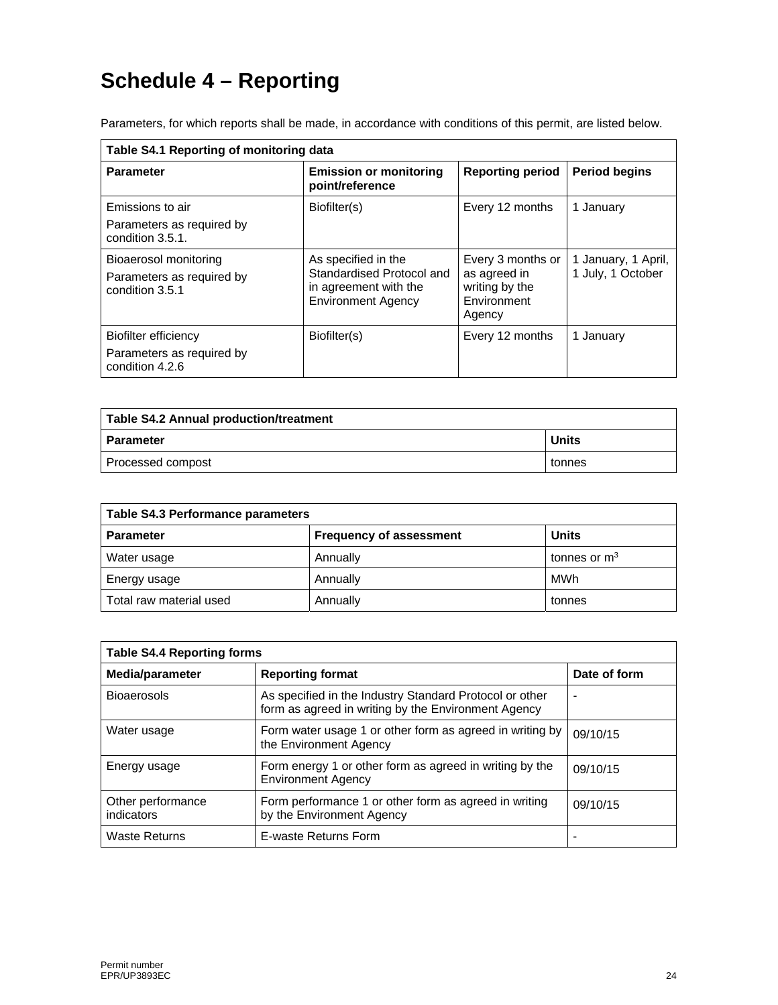# **Schedule 4 – Reporting**

| Table S4.1 Reporting of monitoring data                               |                                                                                                        |                                                                              |                                          |  |  |
|-----------------------------------------------------------------------|--------------------------------------------------------------------------------------------------------|------------------------------------------------------------------------------|------------------------------------------|--|--|
| <b>Parameter</b>                                                      | <b>Emission or monitoring</b><br>point/reference                                                       | <b>Reporting period</b>                                                      | <b>Period begins</b>                     |  |  |
| Emissions to air<br>Parameters as required by<br>condition 3.5.1.     | Biofilter(s)                                                                                           | Every 12 months                                                              | 1 January                                |  |  |
| Bioaerosol monitoring<br>Parameters as required by<br>condition 3.5.1 | As specified in the<br>Standardised Protocol and<br>in agreement with the<br><b>Environment Agency</b> | Every 3 months or<br>as agreed in<br>writing by the<br>Environment<br>Agency | 1 January, 1 April,<br>1 July, 1 October |  |  |
| Biofilter efficiency<br>Parameters as required by<br>condition 4.2.6  | Biofilter(s)                                                                                           | Every 12 months                                                              | 1 January                                |  |  |

Parameters, for which reports shall be made, in accordance with conditions of this permit, are listed below.

| Table S4.2 Annual production/treatment |              |  |  |
|----------------------------------------|--------------|--|--|
| l Parameter                            | <b>Units</b> |  |  |
| Processed compost                      | tonnes       |  |  |

| <b>Table S4.3 Performance parameters</b> |                                |                |  |  |
|------------------------------------------|--------------------------------|----------------|--|--|
| <b>Parameter</b>                         | <b>Frequency of assessment</b> | <b>Units</b>   |  |  |
| Water usage                              | Annually                       | tonnes or $m3$ |  |  |
| Energy usage                             | Annually                       | MWh            |  |  |
| Total raw material used                  | Annually                       | tonnes         |  |  |

| <b>Table S4.4 Reporting forms</b> |                                                                                                                |                          |  |  |  |
|-----------------------------------|----------------------------------------------------------------------------------------------------------------|--------------------------|--|--|--|
| Media/parameter                   | <b>Reporting format</b>                                                                                        | Date of form             |  |  |  |
| <b>Bioaerosols</b>                | As specified in the Industry Standard Protocol or other<br>form as agreed in writing by the Environment Agency | $\overline{\phantom{0}}$ |  |  |  |
| Water usage                       | Form water usage 1 or other form as agreed in writing by<br>the Environment Agency                             | 09/10/15                 |  |  |  |
| Energy usage                      | Form energy 1 or other form as agreed in writing by the<br><b>Environment Agency</b>                           | 09/10/15                 |  |  |  |
| Other performance<br>indicators   | Form performance 1 or other form as agreed in writing<br>by the Environment Agency                             | 09/10/15                 |  |  |  |
| Waste Returns                     | E-waste Returns Form                                                                                           | $\overline{\phantom{0}}$ |  |  |  |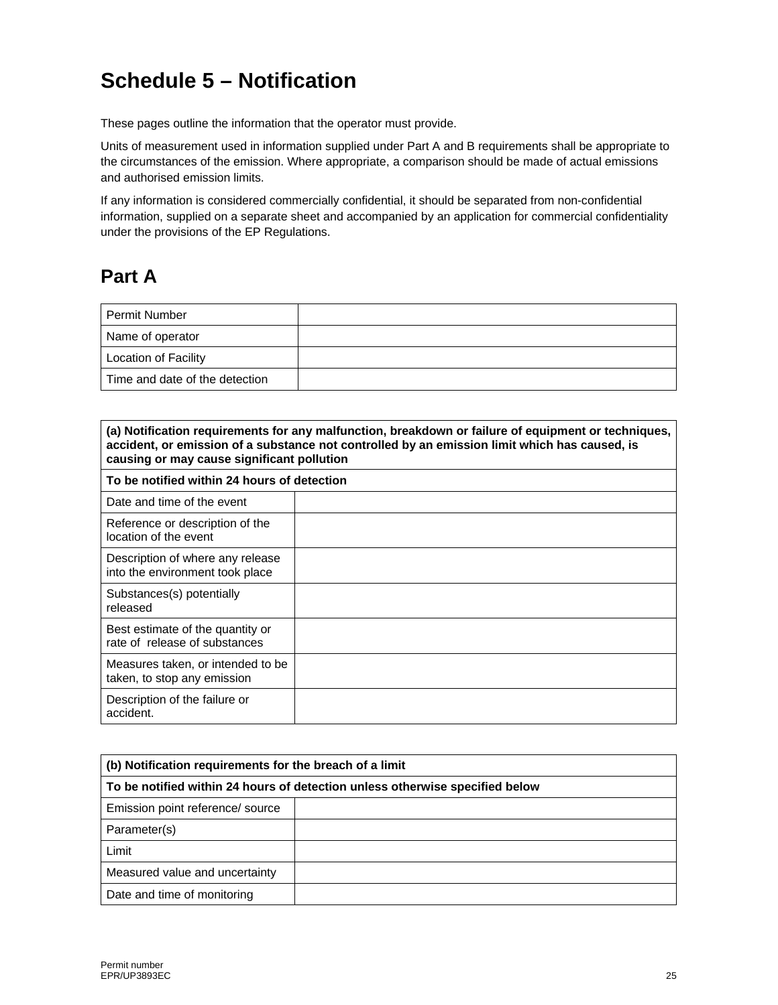# **Schedule 5 – Notification**

These pages outline the information that the operator must provide.

Units of measurement used in information supplied under Part A and B requirements shall be appropriate to the circumstances of the emission. Where appropriate, a comparison should be made of actual emissions and authorised emission limits.

If any information is considered commercially confidential, it should be separated from non-confidential information, supplied on a separate sheet and accompanied by an application for commercial confidentiality under the provisions of the EP Regulations.

## **Part A**

| <b>Permit Number</b>           |  |
|--------------------------------|--|
| Name of operator               |  |
| <b>Location of Facility</b>    |  |
| Time and date of the detection |  |

| (a) Notification requirements for any malfunction, breakdown or failure of equipment or techniques,<br>accident, or emission of a substance not controlled by an emission limit which has caused, is<br>causing or may cause significant pollution |  |  |
|----------------------------------------------------------------------------------------------------------------------------------------------------------------------------------------------------------------------------------------------------|--|--|
| To be notified within 24 hours of detection                                                                                                                                                                                                        |  |  |
| Date and time of the event                                                                                                                                                                                                                         |  |  |
| Reference or description of the<br>location of the event                                                                                                                                                                                           |  |  |
| Description of where any release<br>into the environment took place                                                                                                                                                                                |  |  |
| Substances(s) potentially<br>released                                                                                                                                                                                                              |  |  |
| Best estimate of the quantity or<br>rate of release of substances                                                                                                                                                                                  |  |  |
| Measures taken, or intended to be<br>taken, to stop any emission                                                                                                                                                                                   |  |  |
| Description of the failure or<br>accident.                                                                                                                                                                                                         |  |  |

| (b) Notification requirements for the breach of a limit                      |  |  |
|------------------------------------------------------------------------------|--|--|
| To be notified within 24 hours of detection unless otherwise specified below |  |  |
| Emission point reference/ source                                             |  |  |
| Parameter(s)                                                                 |  |  |
| Limit                                                                        |  |  |
| Measured value and uncertainty                                               |  |  |
| Date and time of monitoring                                                  |  |  |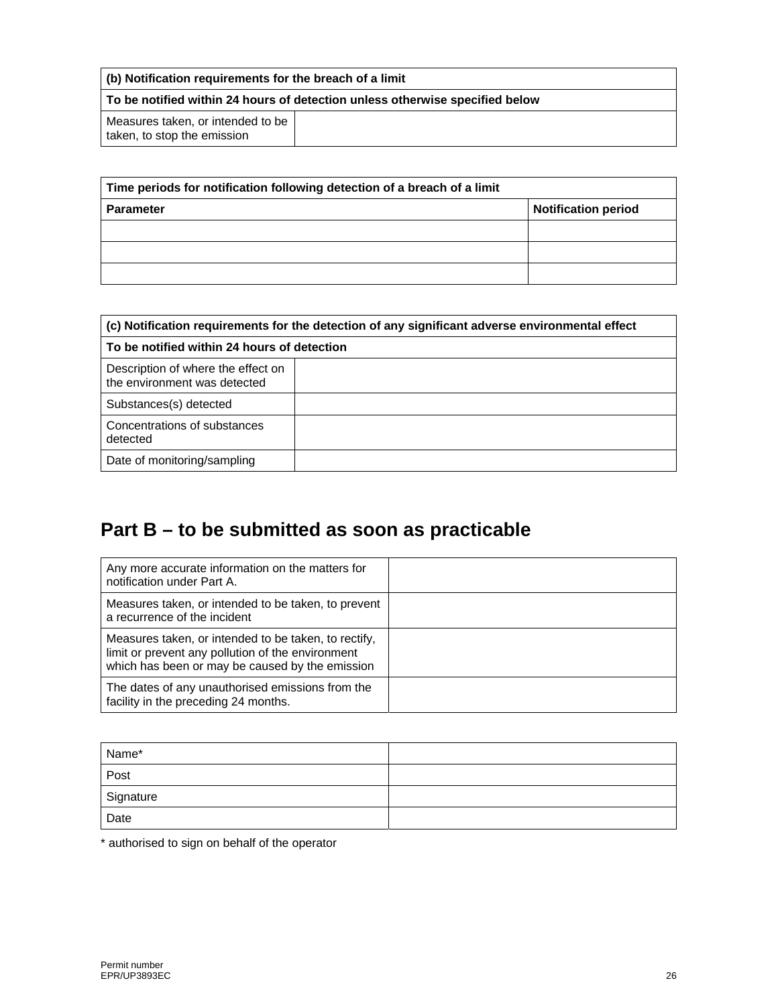| (b) Notification requirements for the breach of a limit                      |  |  |
|------------------------------------------------------------------------------|--|--|
| To be notified within 24 hours of detection unless otherwise specified below |  |  |
| Measures taken, or intended to be<br>taken, to stop the emission             |  |  |

| Time periods for notification following detection of a breach of a limit |                            |
|--------------------------------------------------------------------------|----------------------------|
| <b>Parameter</b>                                                         | <b>Notification period</b> |
|                                                                          |                            |
|                                                                          |                            |
|                                                                          |                            |

| (c) Notification requirements for the detection of any significant adverse environmental effect |  |  |
|-------------------------------------------------------------------------------------------------|--|--|
| To be notified within 24 hours of detection                                                     |  |  |
| Description of where the effect on<br>the environment was detected                              |  |  |
| Substances(s) detected                                                                          |  |  |
| Concentrations of substances<br>detected                                                        |  |  |
| Date of monitoring/sampling                                                                     |  |  |

## **Part B – to be submitted as soon as practicable**

| Any more accurate information on the matters for<br>notification under Part A.                                                                               |  |
|--------------------------------------------------------------------------------------------------------------------------------------------------------------|--|
| Measures taken, or intended to be taken, to prevent<br>a recurrence of the incident                                                                          |  |
| Measures taken, or intended to be taken, to rectify,<br>limit or prevent any pollution of the environment<br>which has been or may be caused by the emission |  |
| The dates of any unauthorised emissions from the<br>facility in the preceding 24 months.                                                                     |  |

| Name*       |  |
|-------------|--|
| Post        |  |
| Signature   |  |
| ___<br>Date |  |

\* authorised to sign on behalf of the operator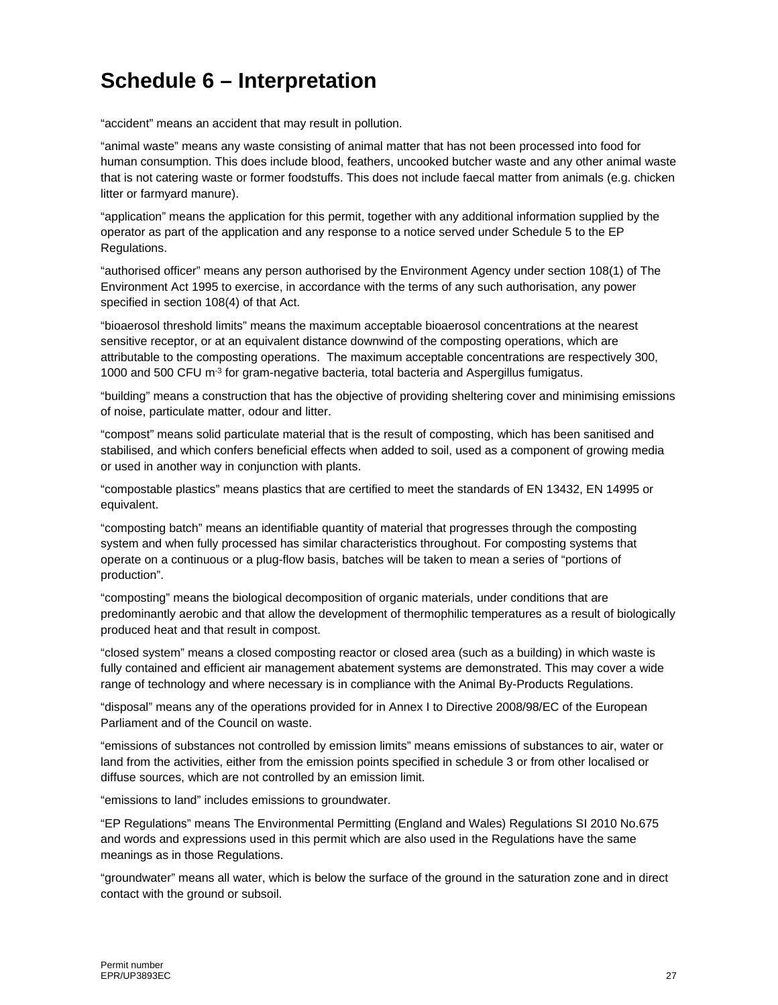# **Schedule 6 – Interpretation**

"accident" means an accident that may result in pollution.

"animal waste" means any waste consisting of animal matter that has not been processed into food for human consumption. This does include blood, feathers, uncooked butcher waste and any other animal waste that is not catering waste or former foodstuffs. This does not include faecal matter from animals (e.g. chicken litter or farmyard manure).

"application" means the application for this permit, together with any additional information supplied by the operator as part of the application and any response to a notice served under Schedule 5 to the EP Regulations.

"authorised officer" means any person authorised by the Environment Agency under section 108(1) of The Environment Act 1995 to exercise, in accordance with the terms of any such authorisation, any power specified in section 108(4) of that Act.

"bioaerosol threshold limits" means the maximum acceptable bioaerosol concentrations at the nearest sensitive receptor, or at an equivalent distance downwind of the composting operations, which are attributable to the composting operations. The maximum acceptable concentrations are respectively 300, 1000 and 500 CFU m<sup>-3</sup> for gram-negative bacteria, total bacteria and Aspergillus fumigatus.

"building" means a construction that has the objective of providing sheltering cover and minimising emissions of noise, particulate matter, odour and litter.

"compost" means solid particulate material that is the result of composting, which has been sanitised and stabilised, and which confers beneficial effects when added to soil, used as a component of growing media or used in another way in conjunction with plants.

"compostable plastics" means plastics that are certified to meet the standards of EN 13432, EN 14995 or equivalent.

"composting batch" means an identifiable quantity of material that progresses through the composting system and when fully processed has similar characteristics throughout. For composting systems that operate on a continuous or a plug-flow basis, batches will be taken to mean a series of "portions of production".

"composting" means the biological decomposition of organic materials, under conditions that are predominantly aerobic and that allow the development of thermophilic temperatures as a result of biologically produced heat and that result in compost.

"closed system" means a closed composting reactor or closed area (such as a building) in which waste is fully contained and efficient air management abatement systems are demonstrated. This may cover a wide range of technology and where necessary is in compliance with the Animal By-Products Regulations.

"disposal" means any of the operations provided for in Annex I to Directive 2008/98/EC of the European Parliament and of the Council on waste.

"emissions of substances not controlled by emission limits" means emissions of substances to air, water or land from the activities, either from the emission points specified in schedule 3 or from other localised or diffuse sources, which are not controlled by an emission limit.

"emissions to land" includes emissions to groundwater.

"EP Regulations" means The Environmental Permitting (England and Wales) Regulations SI 2010 No.675 and words and expressions used in this permit which are also used in the Regulations have the same meanings as in those Regulations.

"groundwater" means all water, which is below the surface of the ground in the saturation zone and in direct contact with the ground or subsoil.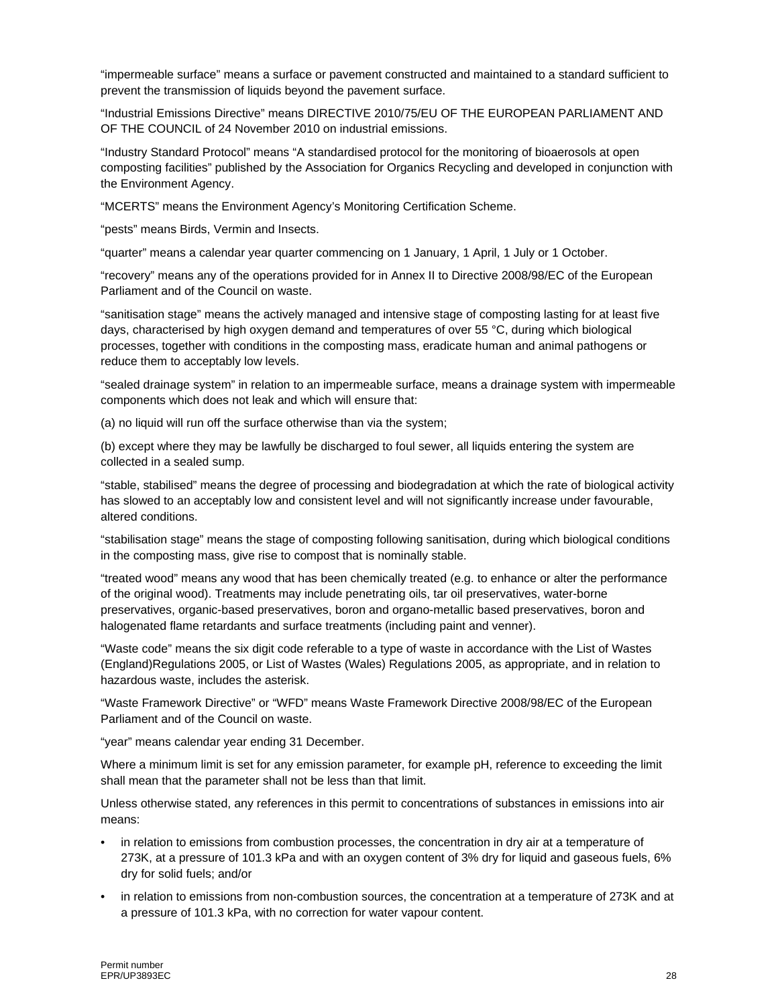"impermeable surface" means a surface or pavement constructed and maintained to a standard sufficient to prevent the transmission of liquids beyond the pavement surface.

"Industrial Emissions Directive" means DIRECTIVE 2010/75/EU OF THE EUROPEAN PARLIAMENT AND OF THE COUNCIL of 24 November 2010 on industrial emissions.

"Industry Standard Protocol" means "A standardised protocol for the monitoring of bioaerosols at open composting facilities" published by the Association for Organics Recycling and developed in conjunction with the Environment Agency.

"MCERTS" means the Environment Agency's Monitoring Certification Scheme.

"pests" means Birds, Vermin and Insects.

"quarter" means a calendar year quarter commencing on 1 January, 1 April, 1 July or 1 October.

"recovery" means any of the operations provided for in Annex II to Directive 2008/98/EC of the European Parliament and of the Council on waste.

"sanitisation stage" means the actively managed and intensive stage of composting lasting for at least five days, characterised by high oxygen demand and temperatures of over 55 °C, during which biological processes, together with conditions in the composting mass, eradicate human and animal pathogens or reduce them to acceptably low levels.

"sealed drainage system" in relation to an impermeable surface, means a drainage system with impermeable components which does not leak and which will ensure that:

(a) no liquid will run off the surface otherwise than via the system;

(b) except where they may be lawfully be discharged to foul sewer, all liquids entering the system are collected in a sealed sump.

"stable, stabilised" means the degree of processing and biodegradation at which the rate of biological activity has slowed to an acceptably low and consistent level and will not significantly increase under favourable, altered conditions.

"stabilisation stage" means the stage of composting following sanitisation, during which biological conditions in the composting mass, give rise to compost that is nominally stable.

"treated wood" means any wood that has been chemically treated (e.g. to enhance or alter the performance of the original wood). Treatments may include penetrating oils, tar oil preservatives, water-borne preservatives, organic-based preservatives, boron and organo-metallic based preservatives, boron and halogenated flame retardants and surface treatments (including paint and venner).

"Waste code" means the six digit code referable to a type of waste in accordance with the List of Wastes (England)Regulations 2005, or List of Wastes (Wales) Regulations 2005, as appropriate, and in relation to hazardous waste, includes the asterisk.

"Waste Framework Directive" or "WFD" means Waste Framework Directive 2008/98/EC of the European Parliament and of the Council on waste.

"year" means calendar year ending 31 December.

Where a minimum limit is set for any emission parameter, for example pH, reference to exceeding the limit shall mean that the parameter shall not be less than that limit.

Unless otherwise stated, any references in this permit to concentrations of substances in emissions into air means:

- in relation to emissions from combustion processes, the concentration in dry air at a temperature of 273K, at a pressure of 101.3 kPa and with an oxygen content of 3% dry for liquid and gaseous fuels, 6% dry for solid fuels; and/or
- in relation to emissions from non-combustion sources, the concentration at a temperature of 273K and at a pressure of 101.3 kPa, with no correction for water vapour content.